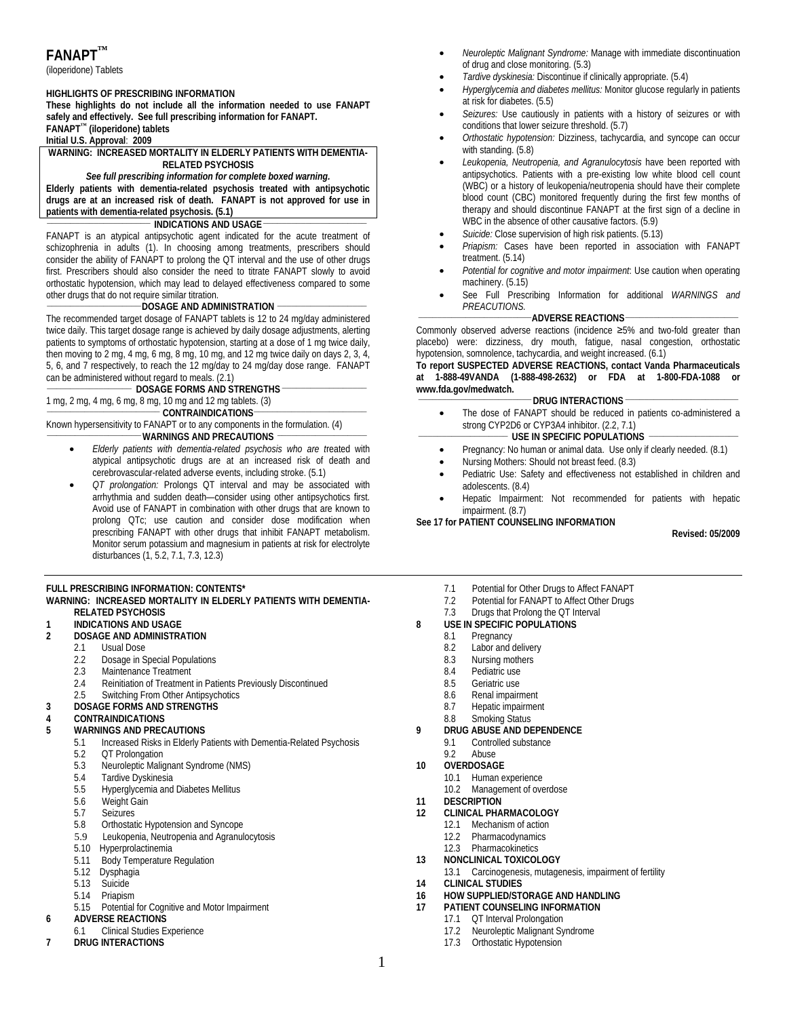#### **FANAPT™**

(iloperidone) Tablets

**HIGHLIGHTS OF PRESCRIBING INFORMATION** 

**These highlights do not include all the information needed to use FANAPT safely and effectively. See full prescribing information for FANAPT. FANAPT™ (iloperidone) tablets** 

**Initial U.S. Approval**: **2009** 

**WARNING: INCREASED MORTALITY IN ELDERLY PATIENTS WITH DEMENTIA-RELATED PSYCHOSIS** 

#### *See full prescribing information for complete boxed warning.*

**\_\_\_\_\_\_\_\_\_\_\_\_\_\_\_\_\_\_\_\_\_\_ \_\_\_\_\_\_\_\_\_\_\_\_\_\_\_\_\_\_\_\_\_\_ INDICATIONS AND USAGE Elderly patients with dementia-related psychosis treated with antipsychotic drugs are at an increased risk of death. FANAPT is not approved for use in patients with dementia-related psychosis. (5.1)** 

 **\_\_\_\_\_\_\_\_\_\_\_\_\_\_\_\_\_\_\_\_ \_\_\_\_\_\_\_\_\_\_\_\_\_\_\_\_\_\_\_**  other drugs that do not require similar titration. FANAPT is an atypical antipsychotic agent indicated for the acute treatment of schizophrenia in adults (1). In choosing among treatments, prescribers should consider the ability of FANAPT to prolong the QT interval and the use of other drugs first. Prescribers should also consider the need to titrate FANAPT slowly to avoid orthostatic hypotension, which may lead to delayed effectiveness compared to some

#### **DOSAGE AND ADMINISTRATION**

can be administered without regard to meals. (2.1)<br>
<u>
</u> **COSAGE FORMS AND ST** The recommended target dosage of FANAPT tablets is 12 to 24 mg/day administered twice daily. This target dosage range is achieved by daily dosage adjustments, alerting patients to symptoms of orthostatic hypotension, starting at a dose of 1 mg twice daily, then moving to 2 mg, 4 mg, 6 mg, 8 mg, 10 mg, and 12 mg twice daily on days 2, 3, 4, 5, 6, and 7 respectively, to reach the 12 mg/day to 24 mg/day dose range. FANAPT

**DOSAGE FORMS AND STRENGTHS \_\_\_\_\_\_\_\_\_\_\_\_\_\_\_\_\_\_**  1 mg, 2 mg, 4 mg, 6 mg, 8 mg, 10 mg and 12 mg tablets. (3) **\_\_\_\_\_\_\_\_\_\_\_\_\_\_\_\_\_\_\_\_\_\_\_\_ CONTRAINDICATIONS\_\_\_\_\_\_\_\_\_\_\_\_\_\_\_\_\_\_\_\_\_\_\_\_** 

**\_\_\_\_\_\_\_\_\_\_\_\_\_\_\_\_\_\_\_\_ \_\_\_\_\_\_\_\_\_\_\_\_\_\_\_\_\_\_\_**  Known hypersensitivity to FANAPT or to any components in the formulation. (4) **WARNINGS AND PRECAUTIONS** 

- Elderly patients with dementia-related psychosis who are treated with atypical antipsychotic drugs are at an increased risk of death and cerebrovascular-related adverse events, including stroke. (5.1)
- Avoid use of FANAPT in combination with other drugs that are known to • *QT prolongation:* Prolongs QT interval and may be associated with arrhythmia and sudden death—consider using other antipsychotics first. prolong QTc; use caution and consider dose modification when prescribing FANAPT with other drugs that inhibit FANAPT metabolism. Monitor serum potassium and magnesium in patients at risk for electrolyte disturbances (1, 5.2, 7.1, 7.3, 12.3)

#### **FULL PRESCRIBING INFORMATION: CONTENTS\* 7.1** Potential for Other Drugs to Affect FANAPT<br> **WARNING: INCREASED MORTALITY IN ELDERLY PATIENTS WITH DEMENTIA-** 7.2 Potential for FANAPT to Affect Other Drugs WARNING: INCREASED MORTALITY IN ELDERLY PATIENTS WITH DEMENTIA-

# **2 DOSAGE AND ADMINISTRATION 8.1** Pregnancy<br>
2.1 Usual Dose 8.2 Labor and in the set of the set of the set of the set of the set of the set of the set of the set of the set of the set of the set of the set of the set of

- 
- 2.2 Dosage in Special Populations and the second state of the state of the state of the San Aurelian State of the San Aurelian State of the San Aurelian State of the San Aurelian State of the San Aurelian State of the San

- 2.3 Maintenance Treatment<br>2.4 Reinitiation of Treatment in Patients Previously Discontinued<br>2.4 Reinitiation of Treatment in Patients Previously Discontinued 2.5 Reinitiation of Treatment in Patients Previously Discontinued<br>
Switching From Other Antipsychotics<br>
8.6 Renal impairment
- 2.5 Switching From Other Antipsychotics

# **3** DOSAGE FORMS AND STRENGTHS **8.7** Hepatic impairment **8.7** Hepatic impairment **8.8** Smoking Status

# **4 CONTRAINDICATIONS<br>WARNINGS AND PRECAUTIONS**

- **5 WARNINGS AND PRECAUTIONS 9 DRUG ABUSE AND DEPENDENCE**  5.1 Increased Risks in Elderly Patients with Dementia-Related Psychosis
	- 5.2 QT Prolongation 9.2 Abuse
	- 5.3 Neuroleptic Malignant Syndrome (NMS) **10 OVERDOSAGE**
	-
	- 5.4 Tardive Dyskinesia<br>5.5 Hyperglycemia and Diabetes Mellitus **10.2 Community 10.2 Management of overdose** Hyperglycemia and Diabetes Mellitus
	- 5.6 Weight Gain **11 DESCRIPTION**
	-
	- Orthostatic Hypotension and Syncope
	- 5.9 Leukopenia, Neutropenia and Agranulocytosis<br>
	5.10 Hyperprolactinemia<br>
	12.3 Pharmacokinetics
	- 5.10 Hyperprolactinemia 12.3 Pharmacokinetics
	- 5.11 Body Temperature Regulation **13 NONCLINICAL TOXICOLOGY**
	- 5.12 Dysphagia<br>5.13 Suicide
	-
	-
	-
- 
- 
- - - 5.15 Potential for Cognitive and Motor Impairment **17 PATIENT COUNSELING INFORMATION**<br>**17.1** QT Interval Prolongation **17.1** ADVERSE REACTIONS

# **6 ADVERSE REACTIONS** 17.1 QT Interval Prolongation

**7 DRUG INTERACTIONS** 17.3 Orthostatic Hypotension

- • *Neuroleptic Malignant Syndrome:* Manage with immediate discontinuation of drug and close monitoring. (5.3)
	- Tardive dyskinesia: Discontinue if clinically appropriate. (5.4)
- Hyperglycemia and diabetes mellitus: Monitor glucose regularly in patients at risk for diabetes. (5.5)
- Seizures: Use cautiously in patients with a history of seizures or with conditions that lower seizure threshold. (5.7)
- Orthostatic hypotension: Dizziness, tachycardia, and syncope can occur with standing. (5.8)
- Leukopenia, Neutropenia, and Agranulocytosis have been reported with antipsychotics. Patients with a pre-existing low white blood cell count (WBC) or a history of leukopenia/neutropenia should have their complete blood count (CBC) monitored frequently during the first few months of therapy and should discontinue FANAPT at the first sign of a decline in WBC in the absence of other causative factors. (5.9)
- Suicide: Close supervision of high risk patients. (5.13)
- Priapism: Cases have been reported in association with FANAPT treatment. (5.14)
- Potential for cognitive and motor impairment. Use caution when operating machinery. (5.15)
- See Full Prescribing Information for additional *WARNINGS and PREACUTIONS*.

#### -ADVERSE REACTIONS-

Commonly observed adverse reactions (incidence ≥5% and two-fold greater than placebo) were: dizziness, dry mouth, fatigue, nasal congestion, orthostatic hypotension, somnolence, tachycardia, and weight increased. (6.1)

**To report SUSPECTED ADVERSE REACTIONS, contact Vanda Pharmaceuticals at 1-888-49VANDA (1-888-498-2632) or FDA at 1-800-FDA-1088 or www.fda.gov/medwatch.** 

#### DRUG INTERACTIONS -

- The dose of FANAPT should be reduced in patients co-administered a strong CYP2D6 or CYP3A4 inhibitor. (2.2, 7.1)
- **\_\_\_\_\_\_\_\_\_\_\_\_\_\_\_\_\_\_\_ \_\_\_\_\_\_\_\_\_\_\_\_\_\_\_\_\_\_\_ USE IN SPECIFIC POPULATIONS** 
	- Pregnancy: No human or animal data. Use only if clearly needed. (8.1)
	- Nursing Mothers: Should not breast feed. (8.3) Pediatric Use: Safety and effectiveness not established in children and
	- adolescents. (8.4) Hepatic Impairment: Not recommended for patients with hepatic

impairment. (8.7) **See 17 for PATIENT COUNSELING INFORMATION** 

**Revised: 05/2009** 

- 
- Potential for FANAPT to Affect Other Drugs
- **RELATED PSYCHOSIS** 7.3 Drugs that Prolong the QT Interval

#### **1 INDICATIONS AND USAGE 8 USE IN SPECIFIC POPULATIONS**

- 
- Labor and delivery
- 
- 
- 
- 
- 
- 

- 
- 
- -
	-

- 5.7 Seizures **12 CLINICAL PHARMACOLOGY** 
	-
	-
	-
- 5.12 Dysphagia 13.1 Carcinogenesis, mutagenesis, impairment of fertility
	-

1

#### 5.13 Suicide **14 CLINICAL STUDIES**  5.14 Priapism **16 HOW SUPPLIED/STORAGE AND HANDLING**

- 
- 
- 6.1 Clinical Studies Experience 17.2 Neuroleptic Malignant Syndrome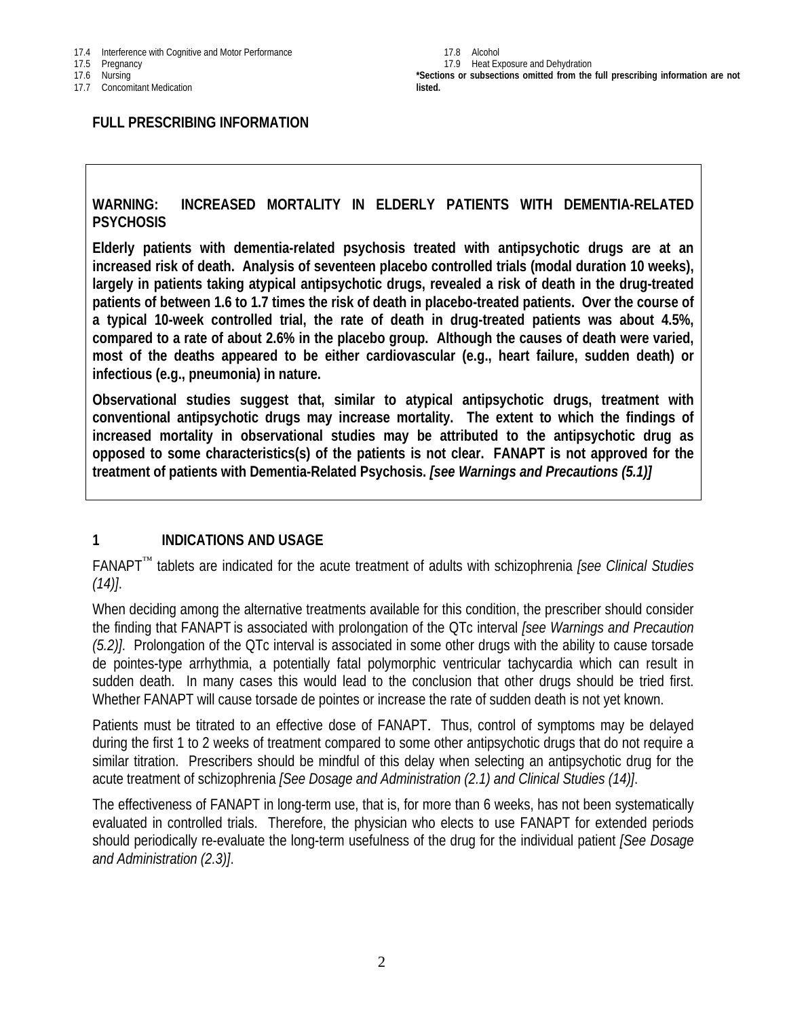- 
- 

17.6 Nursing **17.6 Nursing 17.6 Nursing 17.7 Concomitant Medication 17.7 Concomitant Medication** 

17.5 Pregnancy **17.9 Heat Exposure and Dehydration** \*Sections or subsections omitted from the full prescribing information are not

#### **FULL PRESCRIBING INFORMATION**

**WARNING: INCREASED MORTALITY IN ELDERLY PATIENTS WITH DEMENTIA-RELATED PSYCHOSIS** 

**Elderly patients with dementia-related psychosis treated with antipsychotic drugs are at an increased risk of death. Analysis of seventeen placebo controlled trials (modal duration 10 weeks), largely in patients taking atypical antipsychotic drugs, revealed a risk of death in the drug-treated patients of between 1.6 to 1.7 times the risk of death in placebo-treated patients. Over the course of a typical 10-week controlled trial, the rate of death in drug-treated patients was about 4.5%, compared to a rate of about 2.6% in the placebo group. Although the causes of death were varied, most of the deaths appeared to be either cardiovascular (e.g., heart failure, sudden death) or infectious (e.g., pneumonia) in nature.** 

 **opposed to some characteristics(s) of the patients is not clear. FANAPT is not approved for the treatment of patients with Dementia-Related Psychosis.** *[see Warnings and Precautions (5.1)]*  **Observational studies suggest that, similar to atypical antipsychotic drugs, treatment with conventional antipsychotic drugs may increase mortality. The extent to which the findings of increased mortality in observational studies may be attributed to the antipsychotic drug as** 

#### **1 INDICATIONS AND USAGE**

FANAPT™ tablets are indicated for the acute treatment of adults with schizophrenia *[see Clinical Studies (14)]*.

sudden death. In many cases this would lead to the conclusion that other drugs should be tried first.<br>Whether FANAPT will cause torsade de pointes or increase the rate of sudden death is not yet known. When deciding among the alternative treatments available for this condition, the prescriber should consider the finding that FANAPT is associated with prolongation of the QTc interval *[see Warnings and Precaution (5.2)]*. Prolongation of the QTc interval is associated in some other drugs with the ability to cause torsade de pointes-type arrhythmia, a potentially fatal polymorphic ventricular tachycardia which can result in

Patients must be titrated to an effective dose of FANAPT. Thus, control of symptoms may be delayed during the first 1 to 2 weeks of treatment compared to some other antipsychotic drugs that do not require a similar titration. Prescribers should be mindful of this delay when selecting an antipsychotic drug for the acute treatment of schizophrenia *[See Dosage and Administration (2.1) and Clinical Studies (14)]*.

The effectiveness of FANAPT in long-term use, that is, for more than 6 weeks, has not been systematically evaluated in controlled trials. Therefore, the physician who elects to use FANAPT for extended periods should periodically re-evaluate the long-term usefulness of the drug for the individual patient *[See Dosage and Administration (2.3)]*.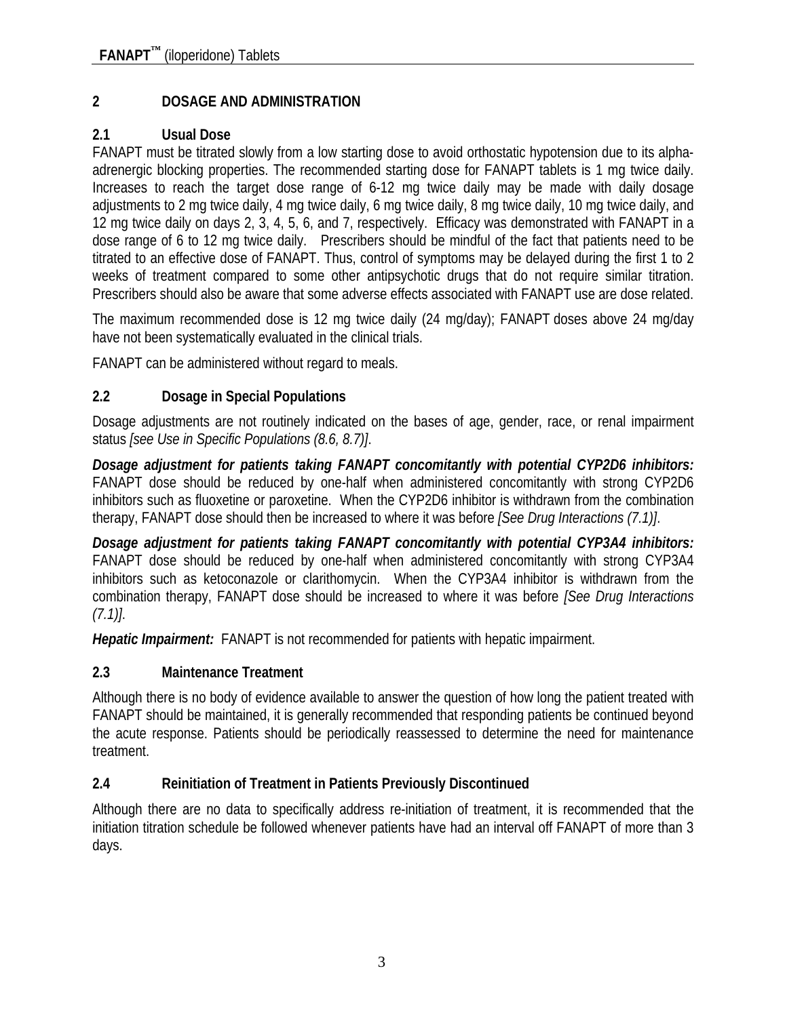#### **2 DOSAGE AND ADMINISTRATION**

#### **2.1 Usual Dose**

adrenergic blocking properties. The recommended starting dose for FANAPT tablets is 1 mg twice daily. weeks of treatment compared to some other antipsychotic drugs that do not require similar titration. FANAPT must be titrated slowly from a low starting dose to avoid orthostatic hypotension due to its alpha-Increases to reach the target dose range of 6-12 mg twice daily may be made with daily dosage adjustments to 2 mg twice daily, 4 mg twice daily, 6 mg twice daily, 8 mg twice daily, 10 mg twice daily, and 12 mg twice daily on days 2, 3, 4, 5, 6, and 7, respectively. Efficacy was demonstrated with FANAPT in a dose range of 6 to 12 mg twice daily. Prescribers should be mindful of the fact that patients need to be titrated to an effective dose of FANAPT. Thus, control of symptoms may be delayed during the first 1 to 2 Prescribers should also be aware that some adverse effects associated with FANAPT use are dose related.

The maximum recommended dose is 12 mg twice daily (24 mg/day); FANAPT doses above 24 mg/day have not been systematically evaluated in the clinical trials.

FANAPT can be administered without regard to meals.

### **2.2 Dosage in Special Populations**

Dosage adjustments are not routinely indicated on the bases of age, gender, race, or renal impairment status *[see Use in Specific Populations (8.6, 8.7)]*.

 *Dosage adjustment for patients taking FANAPT concomitantly with potential CYP2D6 inhibitors:* FANAPT dose should be reduced by one-half when administered concomitantly with strong CYP2D6 inhibitors such as fluoxetine or paroxetine. When the CYP2D6 inhibitor is withdrawn from the combination therapy, FANAPT dose should then be increased to where it was before *[See Drug Interactions (7.1)]*.

 *Dosage adjustment for patients taking FANAPT concomitantly with potential CYP3A4 inhibitors:* FANAPT dose should be reduced by one-half when administered concomitantly with strong CYP3A4 inhibitors such as ketoconazole or clarithomycin. When the CYP3A4 inhibitor is withdrawn from the combination therapy, FANAPT dose should be increased to where it was before *[See Drug Interactions (7.1)]*.

*Hepatic Impairment:* FANAPT is not recommended for patients with hepatic impairment.

### **2.3 Maintenance Treatment**

Although there is no body of evidence available to answer the question of how long the patient treated with FANAPT should be maintained, it is generally recommended that responding patients be continued beyond the acute response. Patients should be periodically reassessed to determine the need for maintenance treatment.

### **2.4 Reinitiation of Treatment in Patients Previously Discontinued**

Although there are no data to specifically address re-initiation of treatment, it is recommended that the initiation titration schedule be followed whenever patients have had an interval off FANAPT of more than 3 days.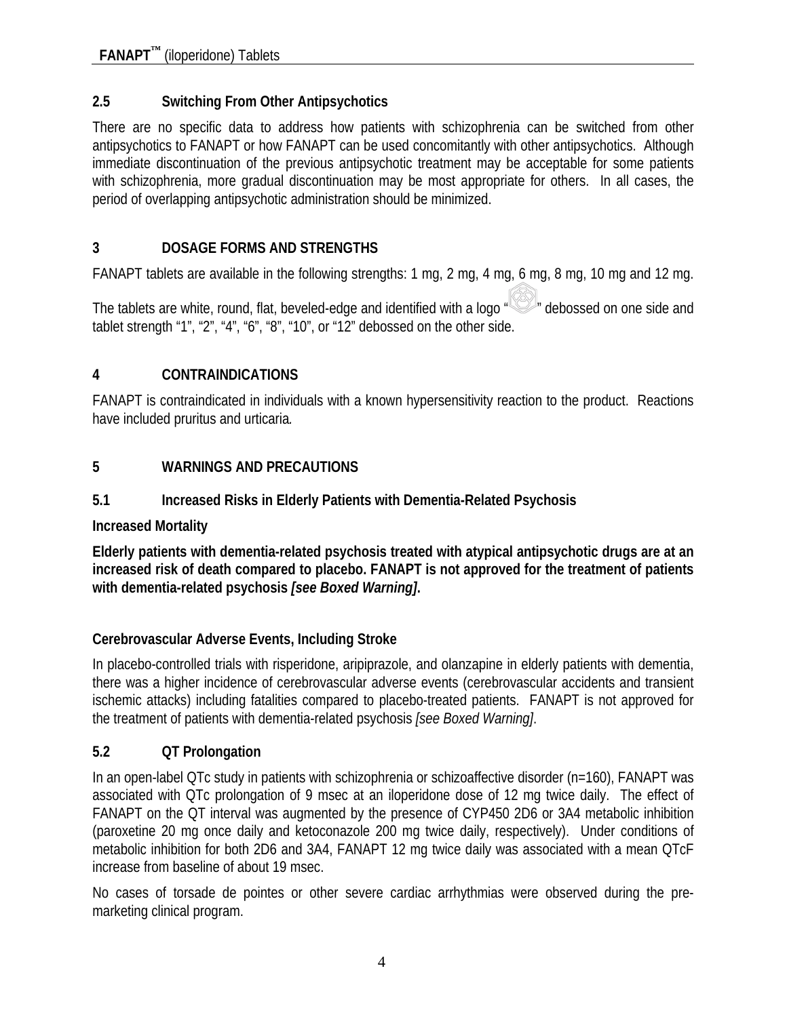## **2.5 Switching From Other Antipsychotics**

There are no specific data to address how patients with schizophrenia can be switched from other antipsychotics to FANAPT or how FANAPT can be used concomitantly with other antipsychotics. Although immediate discontinuation of the previous antipsychotic treatment may be acceptable for some patients with schizophrenia, more gradual discontinuation may be most appropriate for others. In all cases, the period of overlapping antipsychotic administration should be minimized.

## **3 DOSAGE FORMS AND STRENGTHS**

FANAPT tablets are available in the following strengths: 1 mg, 2 mg, 4 mg, 6 mg, 8 mg, 10 mg and 12 mg.

The tablets are white, round, flat, beveled-edge and identified with a logo " debossed on one side and tablet strength "1", "2", "4", "6", "8", "10", or "12" debossed on the other side.

### **4 CONTRAINDICATIONS**

FANAPT is contraindicated in individuals with a known hypersensitivity reaction to the product. Reactions have included pruritus and urticaria*.* 

### **5 WARNINGS AND PRECAUTIONS**

#### **5.1 Increased Risks in Elderly Patients with Dementia-Related Psychosis**

#### **Increased Mortality**

**Elderly patients with dementia-related psychosis treated with atypical antipsychotic drugs are at an increased risk of death compared to placebo. FANAPT is not approved for the treatment of patients with dementia-related psychosis** *[see Boxed Warning]***.** 

### **Cerebrovascular Adverse Events, Including Stroke**

In placebo-controlled trials with risperidone, aripiprazole, and olanzapine in elderly patients with dementia, there was a higher incidence of cerebrovascular adverse events (cerebrovascular accidents and transient ischemic attacks) including fatalities compared to placebo-treated patients. FANAPT is not approved for the treatment of patients with dementia-related psychosis *[see Boxed Warning]*.

### **5.2 QT Prolongation**

In an open-label QTc study in patients with schizophrenia or schizoaffective disorder (n=160), FANAPT was associated with QTc prolongation of 9 msec at an iloperidone dose of 12 mg twice daily. The effect of FANAPT on the QT interval was augmented by the presence of CYP450 2D6 or 3A4 metabolic inhibition (paroxetine 20 mg once daily and ketoconazole 200 mg twice daily, respectively). Under conditions of metabolic inhibition for both 2D6 and 3A4, FANAPT 12 mg twice daily was associated with a mean QTcF increase from baseline of about 19 msec.

No cases of torsade de pointes or other severe cardiac arrhythmias were observed during the premarketing clinical program.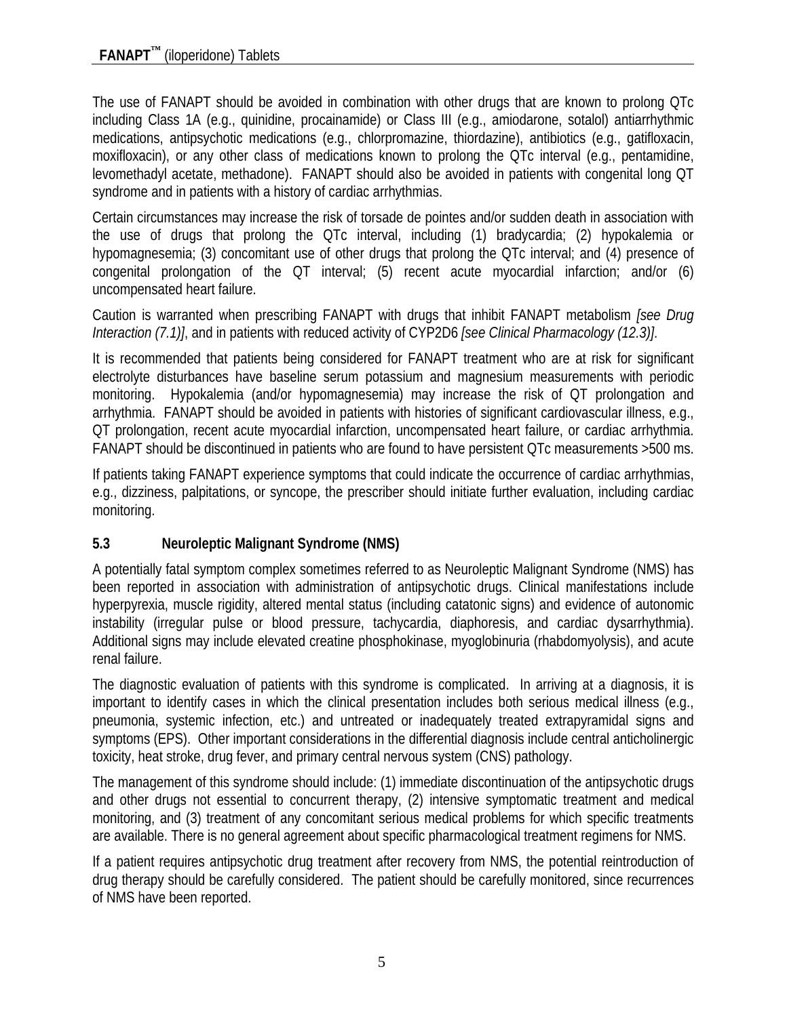The use of FANAPT should be avoided in combination with other drugs that are known to prolong QTc including Class 1A (e.g., quinidine, procainamide) or Class III (e.g., amiodarone, sotalol) antiarrhythmic medications, antipsychotic medications (e.g., chlorpromazine, thiordazine), antibiotics (e.g., gatifloxacin, moxifloxacin), or any other class of medications known to prolong the QTc interval (e.g., pentamidine, levomethadyl acetate, methadone). FANAPT should also be avoided in patients with congenital long QT syndrome and in patients with a history of cardiac arrhythmias.

Certain circumstances may increase the risk of torsade de pointes and/or sudden death in association with the use of drugs that prolong the QTc interval, including (1) bradycardia; (2) hypokalemia or hypomagnesemia; (3) concomitant use of other drugs that prolong the QTc interval; and (4) presence of congenital prolongation of the QT interval; (5) recent acute myocardial infarction; and/or (6) uncompensated heart failure.

Caution is warranted when prescribing FANAPT with drugs that inhibit FANAPT metabolism *[see Drug Interaction (7.1)]*, and in patients with reduced activity of CYP2D6 *[see Clinical Pharmacology (12.3)]*.

It is recommended that patients being considered for FANAPT treatment who are at risk for significant electrolyte disturbances have baseline serum potassium and magnesium measurements with periodic monitoring. Hypokalemia (and/or hypomagnesemia) may increase the risk of QT prolongation and arrhythmia. FANAPT should be avoided in patients with histories of significant cardiovascular illness, e.g., QT prolongation, recent acute myocardial infarction, uncompensated heart failure, or cardiac arrhythmia. FANAPT should be discontinued in patients who are found to have persistent QTc measurements >500 ms.

If patients taking FANAPT experience symptoms that could indicate the occurrence of cardiac arrhythmias, e.g., dizziness, palpitations, or syncope, the prescriber should initiate further evaluation, including cardiac monitoring.

### **5.3 Neuroleptic Malignant Syndrome (NMS)**

A potentially fatal symptom complex sometimes referred to as Neuroleptic Malignant Syndrome (NMS) has been reported in association with administration of antipsychotic drugs. Clinical manifestations include hyperpyrexia, muscle rigidity, altered mental status (including catatonic signs) and evidence of autonomic instability (irregular pulse or blood pressure, tachycardia, diaphoresis, and cardiac dysarrhythmia). Additional signs may include elevated creatine phosphokinase, myoglobinuria (rhabdomyolysis), and acute renal failure.

The diagnostic evaluation of patients with this syndrome is complicated. In arriving at a diagnosis, it is important to identify cases in which the clinical presentation includes both serious medical illness (e.g., pneumonia, systemic infection, etc.) and untreated or inadequately treated extrapyramidal signs and symptoms (EPS). Other important considerations in the differential diagnosis include central anticholinergic toxicity, heat stroke, drug fever, and primary central nervous system (CNS) pathology.

The management of this syndrome should include: (1) immediate discontinuation of the antipsychotic drugs and other drugs not essential to concurrent therapy, (2) intensive symptomatic treatment and medical monitoring, and (3) treatment of any concomitant serious medical problems for which specific treatments are available. There is no general agreement about specific pharmacological treatment regimens for NMS.

If a patient requires antipsychotic drug treatment after recovery from NMS, the potential reintroduction of drug therapy should be carefully considered. The patient should be carefully monitored, since recurrences of NMS have been reported.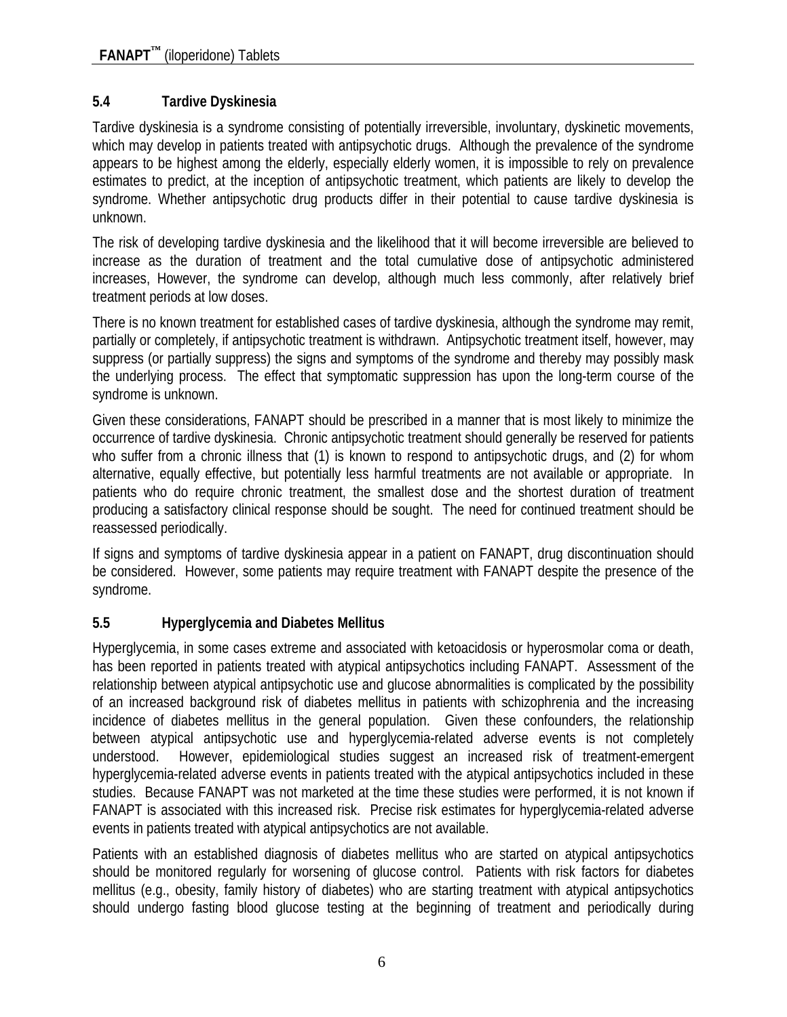## **5.4 Tardive Dyskinesia**

Tardive dyskinesia is a syndrome consisting of potentially irreversible, involuntary, dyskinetic movements, which may develop in patients treated with antipsychotic drugs. Although the prevalence of the syndrome appears to be highest among the elderly, especially elderly women, it is impossible to rely on prevalence estimates to predict, at the inception of antipsychotic treatment, which patients are likely to develop the syndrome. Whether antipsychotic drug products differ in their potential to cause tardive dyskinesia is unknown.

The risk of developing tardive dyskinesia and the likelihood that it will become irreversible are believed to increase as the duration of treatment and the total cumulative dose of antipsychotic administered increases, However, the syndrome can develop, although much less commonly, after relatively brief treatment periods at low doses.

There is no known treatment for established cases of tardive dyskinesia, although the syndrome may remit, partially or completely, if antipsychotic treatment is withdrawn. Antipsychotic treatment itself, however, may suppress (or partially suppress) the signs and symptoms of the syndrome and thereby may possibly mask the underlying process. The effect that symptomatic suppression has upon the long-term course of the syndrome is unknown.

Given these considerations, FANAPT should be prescribed in a manner that is most likely to minimize the occurrence of tardive dyskinesia. Chronic antipsychotic treatment should generally be reserved for patients who suffer from a chronic illness that (1) is known to respond to antipsychotic drugs, and (2) for whom alternative, equally effective, but potentially less harmful treatments are not available or appropriate. In patients who do require chronic treatment, the smallest dose and the shortest duration of treatment producing a satisfactory clinical response should be sought. The need for continued treatment should be reassessed periodically.

If signs and symptoms of tardive dyskinesia appear in a patient on FANAPT, drug discontinuation should be considered. However, some patients may require treatment with FANAPT despite the presence of the syndrome.

### **5.5 Hyperglycemia and Diabetes Mellitus**

Hyperglycemia, in some cases extreme and associated with ketoacidosis or hyperosmolar coma or death, has been reported in patients treated with atypical antipsychotics including FANAPT. Assessment of the relationship between atypical antipsychotic use and glucose abnormalities is complicated by the possibility of an increased background risk of diabetes mellitus in patients with schizophrenia and the increasing incidence of diabetes mellitus in the general population. Given these confounders, the relationship between atypical antipsychotic use and hyperglycemia-related adverse events is not completely understood. However, epidemiological studies suggest an increased risk of treatment-emergent hyperglycemia-related adverse events in patients treated with the atypical antipsychotics included in these studies. Because FANAPT was not marketed at the time these studies were performed, it is not known if FANAPT is associated with this increased risk. Precise risk estimates for hyperglycemia-related adverse events in patients treated with atypical antipsychotics are not available.

Patients with an established diagnosis of diabetes mellitus who are started on atypical antipsychotics should be monitored regularly for worsening of glucose control. Patients with risk factors for diabetes mellitus (e.g., obesity, family history of diabetes) who are starting treatment with atypical antipsychotics should undergo fasting blood glucose testing at the beginning of treatment and periodically during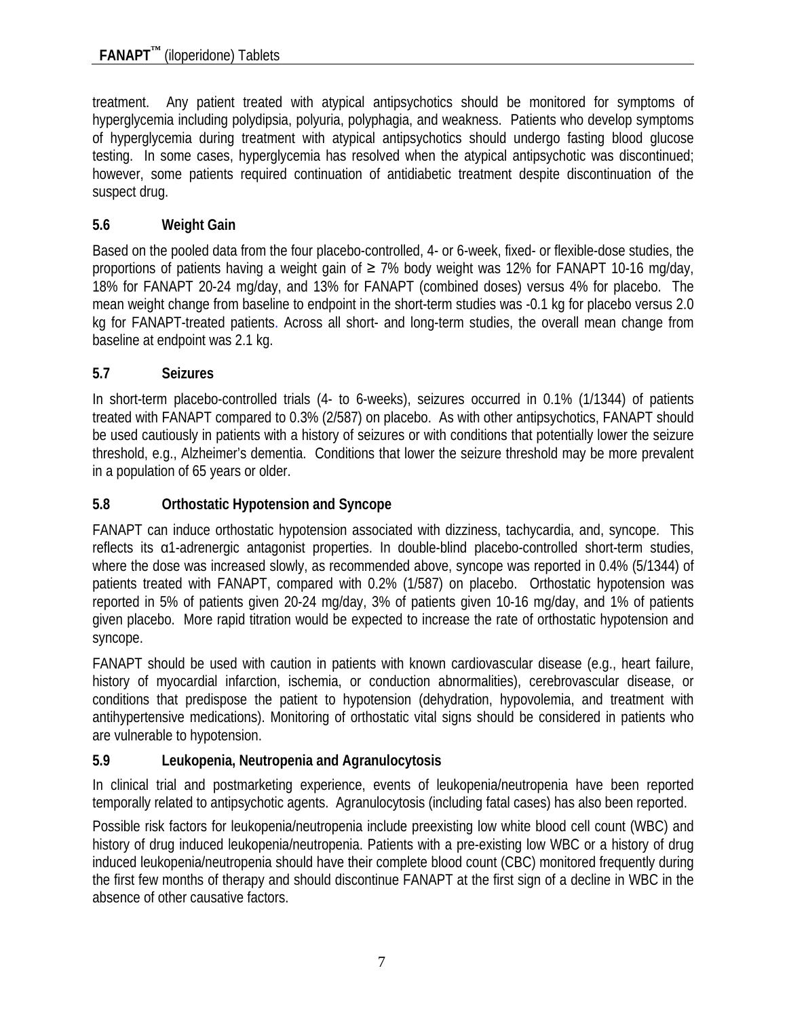treatment. Any patient treated with atypical antipsychotics should be monitored for symptoms of hyperglycemia including polydipsia, polyuria, polyphagia, and weakness. Patients who develop symptoms of hyperglycemia during treatment with atypical antipsychotics should undergo fasting blood glucose testing. In some cases, hyperglycemia has resolved when the atypical antipsychotic was discontinued; however, some patients required continuation of antidiabetic treatment despite discontinuation of the suspect drug.

## **5.6 Weight Gain**

Based on the pooled data from the four placebo-controlled, 4- or 6-week, fixed- or flexible-dose studies, the proportions of patients having a weight gain of  $\geq$  7% body weight was 12% for FANAPT 10-16 mg/day, 18% for FANAPT 20-24 mg/day, and 13% for FANAPT (combined doses) versus 4% for placebo. The mean weight change from baseline to endpoint in the short-term studies was -0.1 kg for placebo versus 2.0 kg for FANAPT-treated patients. Across all short- and long-term studies, the overall mean change from baseline at endpoint was 2.1 kg.

### **5.7 Seizures**

In short-term placebo-controlled trials (4- to 6-weeks), seizures occurred in 0.1% (1/1344) of patients treated with FANAPT compared to 0.3% (2/587) on placebo. As with other antipsychotics, FANAPT should be used cautiously in patients with a history of seizures or with conditions that potentially lower the seizure threshold, e.g., Alzheimer's dementia. Conditions that lower the seizure threshold may be more prevalent in a population of 65 years or older.

## **5.8 Orthostatic Hypotension and Syncope**

FANAPT can induce orthostatic hypotension associated with dizziness, tachycardia, and, syncope. This reflects its α1-adrenergic antagonist properties. In double-blind placebo-controlled short-term studies, where the dose was increased slowly, as recommended above, syncope was reported in 0.4% (5/1344) of patients treated with FANAPT, compared with 0.2% (1/587) on placebo. Orthostatic hypotension was reported in 5% of patients given 20-24 mg/day, 3% of patients given 10-16 mg/day, and 1% of patients given placebo. More rapid titration would be expected to increase the rate of orthostatic hypotension and syncope.

FANAPT should be used with caution in patients with known cardiovascular disease (e.g., heart failure, history of myocardial infarction, ischemia, or conduction abnormalities), cerebrovascular disease, or conditions that predispose the patient to hypotension (dehydration, hypovolemia, and treatment with antihypertensive medications). Monitoring of orthostatic vital signs should be considered in patients who are vulnerable to hypotension.

### **5.9 Leukopenia, Neutropenia and Agranulocytosis**

In clinical trial and postmarketing experience, events of leukopenia/neutropenia have been reported temporally related to antipsychotic agents. Agranulocytosis (including fatal cases) has also been reported.

Possible risk factors for leukopenia/neutropenia include preexisting low white blood cell count (WBC) and history of drug induced leukopenia/neutropenia. Patients with a pre-existing low WBC or a history of drug induced leukopenia/neutropenia should have their complete blood count (CBC) monitored frequently during the first few months of therapy and should discontinue FANAPT at the first sign of a decline in WBC in the absence of other causative factors.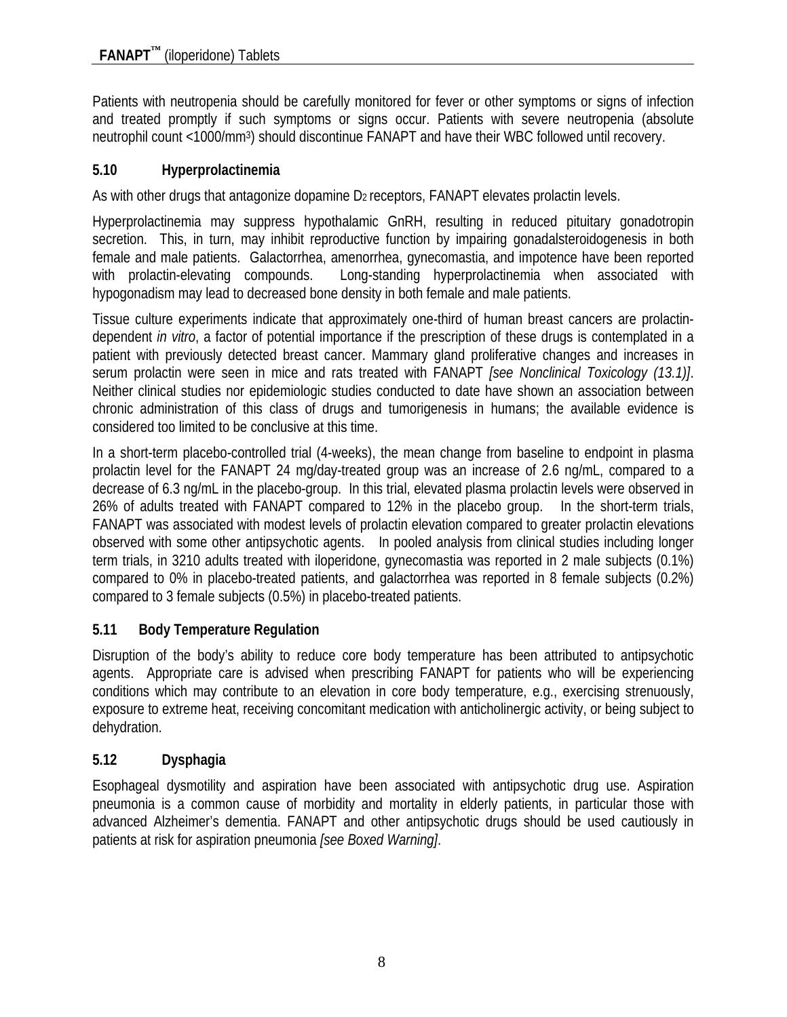Patients with neutropenia should be carefully monitored for fever or other symptoms or signs of infection and treated promptly if such symptoms or signs occur. Patients with severe neutropenia (absolute neutrophil count <1000/mm3) should discontinue FANAPT and have their WBC followed until recovery.

## **5.10 Hyperprolactinemia**

As with other drugs that antagonize dopamine  $D_2$  receptors, FANAPT elevates prolactin levels.

Hyperprolactinemia may suppress hypothalamic GnRH, resulting in reduced pituitary gonadotropin secretion. This, in turn, may inhibit reproductive function by impairing gonadalsteroidogenesis in both female and male patients. Galactorrhea, amenorrhea, gynecomastia, and impotence have been reported with prolactin-elevating compounds. Long-standing hyperprolactinemia when associated with hypogonadism may lead to decreased bone density in both female and male patients.

Tissue culture experiments indicate that approximately one-third of human breast cancers are prolactindependent *in vitro*, a factor of potential importance if the prescription of these drugs is contemplated in a patient with previously detected breast cancer. Mammary gland proliferative changes and increases in serum prolactin were seen in mice and rats treated with FANAPT *[see Nonclinical Toxicology (13.1)]*. Neither clinical studies nor epidemiologic studies conducted to date have shown an association between chronic administration of this class of drugs and tumorigenesis in humans; the available evidence is considered too limited to be conclusive at this time.

In a short-term placebo-controlled trial (4-weeks), the mean change from baseline to endpoint in plasma prolactin level for the FANAPT 24 mg/day-treated group was an increase of 2.6 ng/mL, compared to a decrease of 6.3 ng/mL in the placebo-group. In this trial, elevated plasma prolactin levels were observed in 26% of adults treated with FANAPT compared to 12% in the placebo group. In the short-term trials, FANAPT was associated with modest levels of prolactin elevation compared to greater prolactin elevations observed with some other antipsychotic agents. In pooled analysis from clinical studies including longer term trials, in 3210 adults treated with iloperidone, gynecomastia was reported in 2 male subjects (0.1%) compared to 0% in placebo-treated patients, and galactorrhea was reported in 8 female subjects (0.2%) compared to 3 female subjects (0.5%) in placebo-treated patients.

## **5.11 Body Temperature Regulation**

Disruption of the body's ability to reduce core body temperature has been attributed to antipsychotic agents. Appropriate care is advised when prescribing FANAPT for patients who will be experiencing conditions which may contribute to an elevation in core body temperature, e.g., exercising strenuously, exposure to extreme heat, receiving concomitant medication with anticholinergic activity, or being subject to dehydration.

## **5.12 Dysphagia**

Esophageal dysmotility and aspiration have been associated with antipsychotic drug use. Aspiration pneumonia is a common cause of morbidity and mortality in elderly patients, in particular those with advanced Alzheimer's dementia. FANAPT and other antipsychotic drugs should be used cautiously in patients at risk for aspiration pneumonia *[see Boxed Warning]*.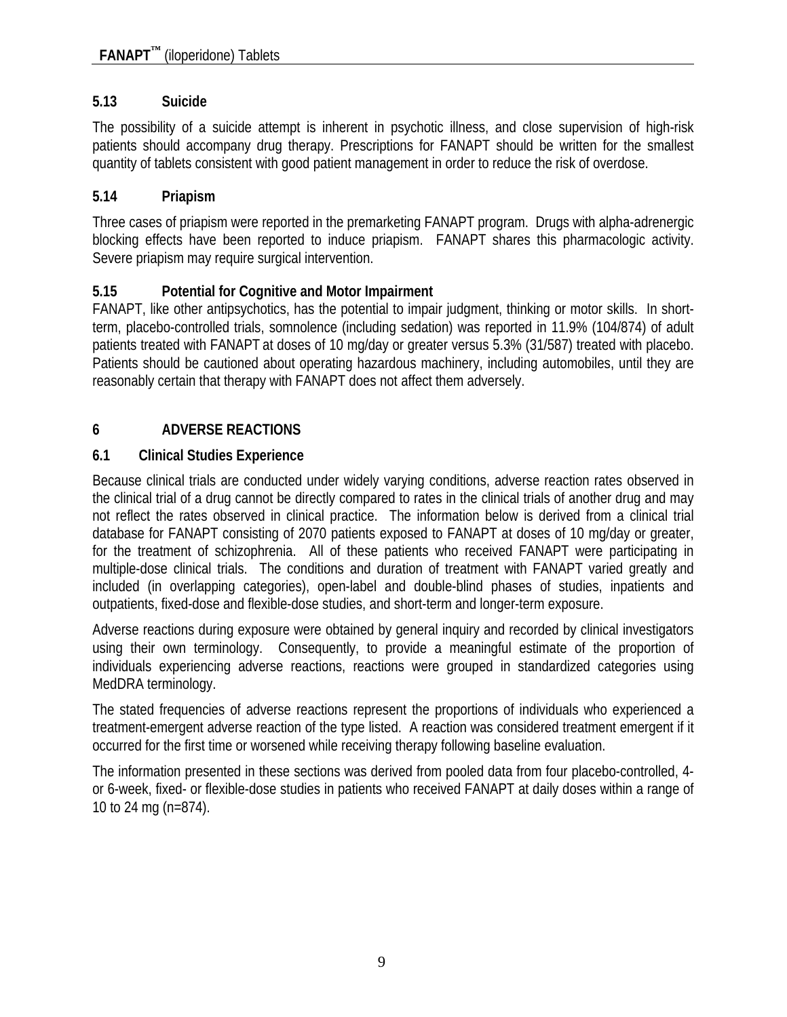### **5.13 Suicide**

The possibility of a suicide attempt is inherent in psychotic illness, and close supervision of high-risk patients should accompany drug therapy. Prescriptions for FANAPT should be written for the smallest quantity of tablets consistent with good patient management in order to reduce the risk of overdose.

#### **5.14 Priapism**

Three cases of priapism were reported in the premarketing FANAPT program. Drugs with alpha-adrenergic blocking effects have been reported to induce priapism. FANAPT shares this pharmacologic activity. Severe priapism may require surgical intervention.

#### **5.15 Potential for Cognitive and Motor Impairment**

FANAPT, like other antipsychotics, has the potential to impair judgment, thinking or motor skills. In shortterm, placebo-controlled trials, somnolence (including sedation) was reported in 11.9% (104/874) of adult patients treated with FANAPT at doses of 10 mg/day or greater versus 5.3% (31/587) treated with placebo. Patients should be cautioned about operating hazardous machinery, including automobiles, until they are reasonably certain that therapy with FANAPT does not affect them adversely.

#### **6 ADVERSE REACTIONS**

#### **6.1 Clinical Studies Experience**

Because clinical trials are conducted under widely varying conditions, adverse reaction rates observed in the clinical trial of a drug cannot be directly compared to rates in the clinical trials of another drug and may not reflect the rates observed in clinical practice. The information below is derived from a clinical trial database for FANAPT consisting of 2070 patients exposed to FANAPT at doses of 10 mg/day or greater, for the treatment of schizophrenia. All of these patients who received FANAPT were participating in multiple-dose clinical trials. The conditions and duration of treatment with FANAPT varied greatly and included (in overlapping categories), open-label and double-blind phases of studies, inpatients and outpatients, fixed-dose and flexible-dose studies, and short-term and longer-term exposure.

Adverse reactions during exposure were obtained by general inquiry and recorded by clinical investigators using their own terminology. Consequently, to provide a meaningful estimate of the proportion of individuals experiencing adverse reactions, reactions were grouped in standardized categories using MedDRA terminology.

The stated frequencies of adverse reactions represent the proportions of individuals who experienced a treatment-emergent adverse reaction of the type listed. A reaction was considered treatment emergent if it occurred for the first time or worsened while receiving therapy following baseline evaluation.

The information presented in these sections was derived from pooled data from four placebo-controlled, 4 or 6-week, fixed- or flexible-dose studies in patients who received FANAPT at daily doses within a range of 10 to 24 mg (n=874).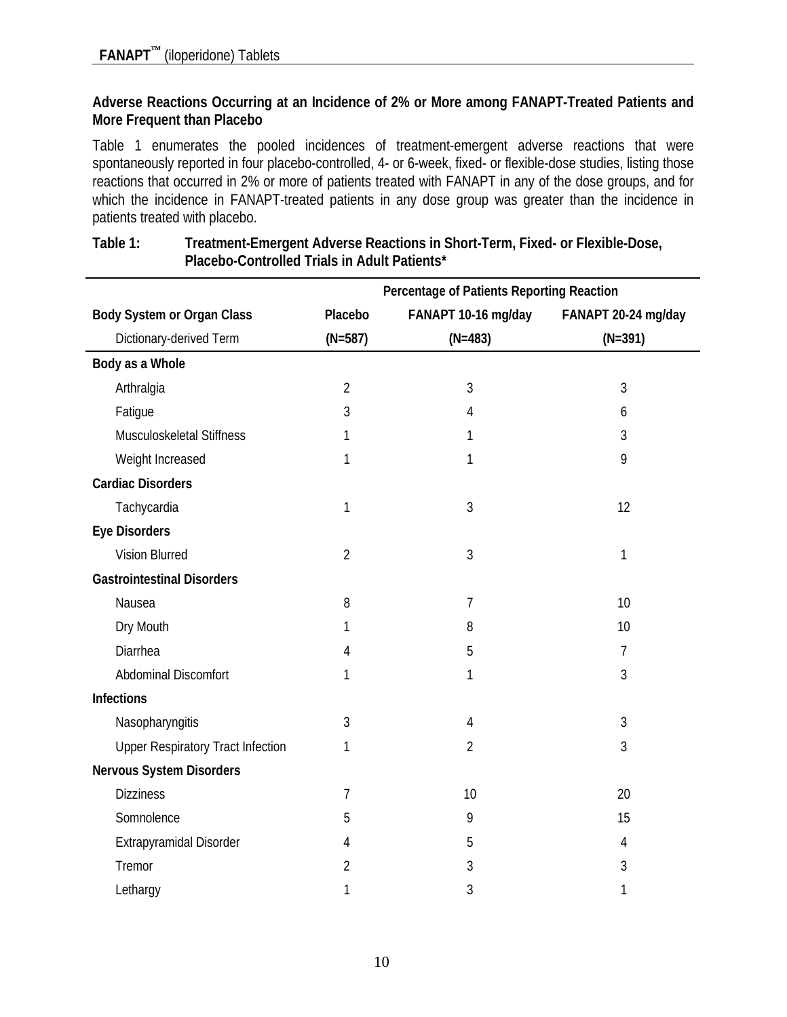#### **Adverse Reactions Occurring at an Incidence of 2% or More among FANAPT-Treated Patients and More Frequent than Placebo**

Table 1 enumerates the pooled incidences of treatment-emergent adverse reactions that were spontaneously reported in four placebo-controlled, 4- or 6-week, fixed- or flexible-dose studies, listing those reactions that occurred in 2% or more of patients treated with FANAPT in any of the dose groups, and for which the incidence in FANAPT-treated patients in any dose group was greater than the incidence in patients treated with placebo.

|                                          | Percentage of Patients Reporting Reaction |                     |                     |
|------------------------------------------|-------------------------------------------|---------------------|---------------------|
| <b>Body System or Organ Class</b>        | Placebo                                   | FANAPT 10-16 mg/day | FANAPT 20-24 mg/day |
| Dictionary-derived Term                  | $(N=587)$                                 | $(N=483)$           | $(N=391)$           |
| Body as a Whole                          |                                           |                     |                     |
| Arthralgia                               | $\overline{2}$                            | $\mathfrak{Z}$      | 3                   |
| Fatigue                                  | 3                                         | 4                   | 6                   |
| Musculoskeletal Stiffness                | 1                                         | 1                   | 3                   |
| Weight Increased                         | 1                                         | 1                   | 9                   |
| <b>Cardiac Disorders</b>                 |                                           |                     |                     |
| Tachycardia                              | 1                                         | 3                   | 12                  |
| <b>Eye Disorders</b>                     |                                           |                     |                     |
| Vision Blurred                           | $\overline{2}$                            | $\mathfrak{Z}$      | 1                   |
| <b>Gastrointestinal Disorders</b>        |                                           |                     |                     |
| Nausea                                   | 8                                         | 7                   | 10                  |
| Dry Mouth                                | 1                                         | 8                   | 10                  |
| Diarrhea                                 | 4                                         | 5                   | 7                   |
| Abdominal Discomfort                     | 1                                         | 1                   | 3                   |
| <b>Infections</b>                        |                                           |                     |                     |
| Nasopharyngitis                          | 3                                         | 4                   | 3                   |
| <b>Upper Respiratory Tract Infection</b> | 1                                         | $\overline{2}$      | 3                   |
| <b>Nervous System Disorders</b>          |                                           |                     |                     |
| <b>Dizziness</b>                         | 7                                         | 10                  | 20                  |
| Somnolence                               | 5                                         | 9                   | 15                  |
| Extrapyramidal Disorder                  | 4                                         | 5                   | 4                   |
| Tremor                                   | $\overline{2}$                            | $\mathfrak{Z}$      | 3                   |
| Lethargy                                 | 1                                         | 3                   | 1                   |

#### **Table 1: Treatment-Emergent Adverse Reactions in Short-Term, Fixed- or Flexible-Dose, Placebo-Controlled Trials in Adult Patients\***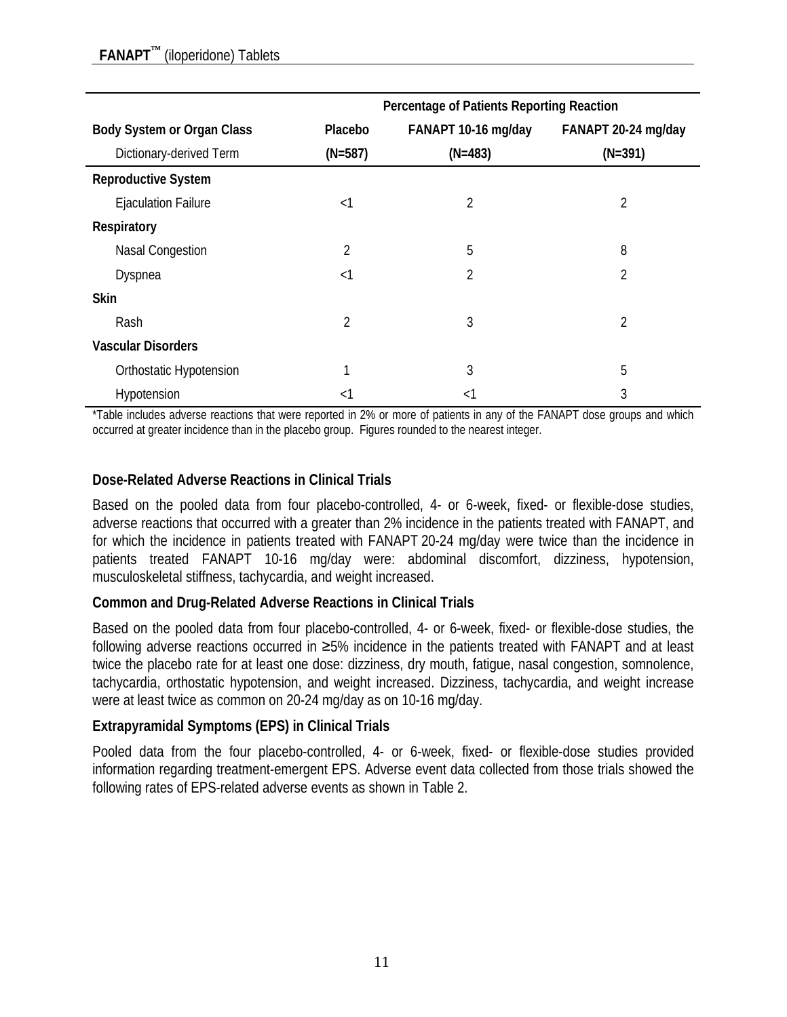|                                   | Percentage of Patients Reporting Reaction |                     |                     |
|-----------------------------------|-------------------------------------------|---------------------|---------------------|
| <b>Body System or Organ Class</b> | Placebo                                   | FANAPT 10-16 mg/day | FANAPT 20-24 mg/day |
| Dictionary-derived Term           | $(N=587)$                                 | $(N=483)$           | $(N=391)$           |
| <b>Reproductive System</b>        |                                           |                     |                     |
| <b>Ejaculation Failure</b>        | $\leq$ 1                                  | $\overline{2}$      | 2                   |
| Respiratory                       |                                           |                     |                     |
| <b>Nasal Congestion</b>           | 2                                         | 5                   | 8                   |
| Dyspnea                           | $\leq$ 1                                  | $\overline{2}$      | $\overline{2}$      |
| <b>Skin</b>                       |                                           |                     |                     |
| Rash                              | 2                                         | 3                   | $\overline{2}$      |
| <b>Vascular Disorders</b>         |                                           |                     |                     |
| Orthostatic Hypotension           | 1                                         | 3                   | 5                   |
| Hypotension                       | $<$ 1                                     | $<$ 1               | 3                   |

\*Table includes adverse reactions that were reported in 2% or more of patients in any of the FANAPT dose groups and which occurred at greater incidence than in the placebo group. Figures rounded to the nearest integer.

#### **Dose-Related Adverse Reactions in Clinical Trials**

Based on the pooled data from four placebo-controlled, 4- or 6-week, fixed- or flexible-dose studies, adverse reactions that occurred with a greater than 2% incidence in the patients treated with FANAPT, and for which the incidence in patients treated with FANAPT 20-24 mg/day were twice than the incidence in patients treated FANAPT 10-16 mg/day were: abdominal discomfort, dizziness, hypotension, musculoskeletal stiffness, tachycardia, and weight increased.

#### **Common and Drug-Related Adverse Reactions in Clinical Trials**

Based on the pooled data from four placebo-controlled, 4- or 6-week, fixed- or flexible-dose studies, the following adverse reactions occurred in ≥5% incidence in the patients treated with FANAPT and at least twice the placebo rate for at least one dose: dizziness, dry mouth, fatigue, nasal congestion, somnolence, tachycardia, orthostatic hypotension, and weight increased. Dizziness, tachycardia, and weight increase were at least twice as common on 20-24 mg/day as on 10-16 mg/day.

#### **Extrapyramidal Symptoms (EPS) in Clinical Trials**

Pooled data from the four placebo-controlled, 4- or 6-week, fixed- or flexible-dose studies provided information regarding treatment-emergent EPS. Adverse event data collected from those trials showed the following rates of EPS-related adverse events as shown in Table 2.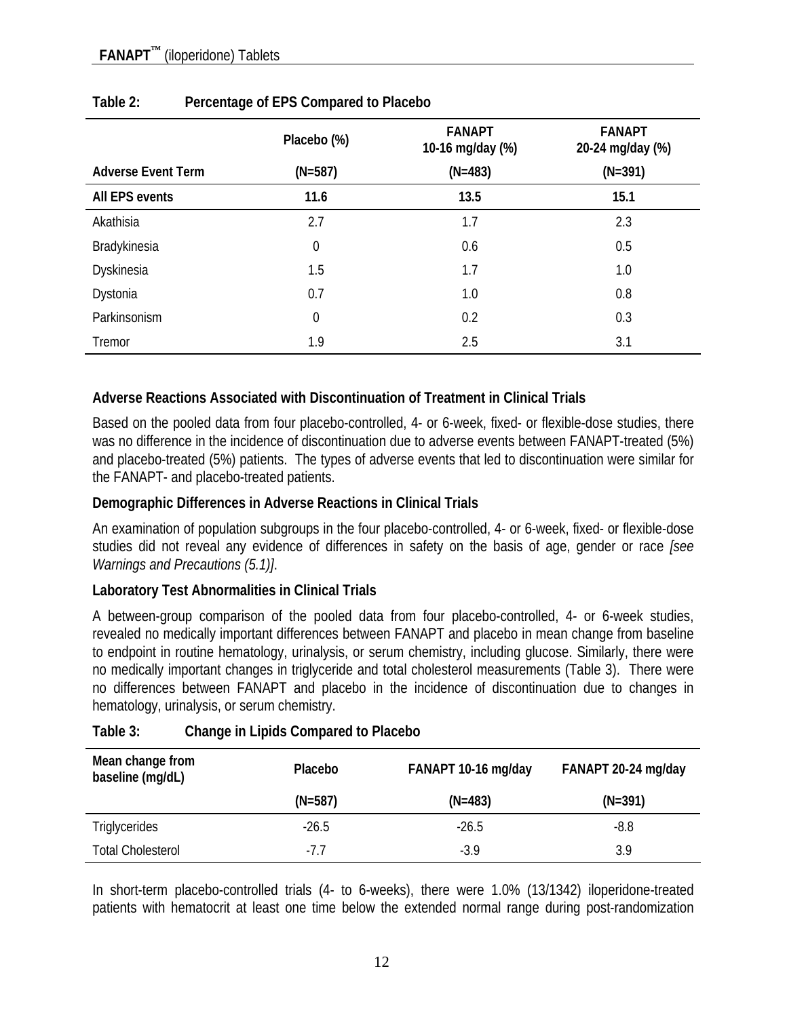|                           | Placebo (%) | <b>FANAPT</b><br>10-16 mg/day (%) | <b>FANAPT</b><br>20-24 mg/day (%) |
|---------------------------|-------------|-----------------------------------|-----------------------------------|
| <b>Adverse Event Term</b> | $(N=587)$   | $(N=483)$                         | $(N=391)$                         |
| All EPS events            | 11.6        | 13.5                              | 15.1                              |
| Akathisia                 | 2.7         | 1.7                               | 2.3                               |
| Bradykinesia              | $\mathbf 0$ | 0.6                               | 0.5                               |
| Dyskinesia                | 1.5         | 1.7                               | 1.0                               |
| Dystonia                  | 0.7         | 1.0                               | 0.8                               |
| Parkinsonism              | $\mathbf 0$ | 0.2                               | 0.3                               |
| Tremor                    | 1.9         | 2.5                               | 3.1                               |

### **Table 2: Percentage of EPS Compared to Placebo**

#### **Adverse Reactions Associated with Discontinuation of Treatment in Clinical Trials**

Based on the pooled data from four placebo-controlled, 4- or 6-week, fixed- or flexible-dose studies, there was no difference in the incidence of discontinuation due to adverse events between FANAPT-treated (5%) and placebo-treated (5%) patients. The types of adverse events that led to discontinuation were similar for the FANAPT- and placebo-treated patients.

#### **Demographic Differences in Adverse Reactions in Clinical Trials**

An examination of population subgroups in the four placebo-controlled, 4- or 6-week, fixed- or flexible-dose studies did not reveal any evidence of differences in safety on the basis of age, gender or race *[see Warnings and Precautions (5.1)]*.

#### **Laboratory Test Abnormalities in Clinical Trials**

A between-group comparison of the pooled data from four placebo-controlled, 4- or 6-week studies, revealed no medically important differences between FANAPT and placebo in mean change from baseline to endpoint in routine hematology, urinalysis, or serum chemistry, including glucose. Similarly, there were no medically important changes in triglyceride and total cholesterol measurements (Table 3). There were no differences between FANAPT and placebo in the incidence of discontinuation due to changes in hematology, urinalysis, or serum chemistry.

| Table 3: | Change in Lipids Compared to Placebo |
|----------|--------------------------------------|
|----------|--------------------------------------|

| Mean change from<br>baseline (mg/dL) | <b>Placebo</b> | FANAPT 10-16 mg/day | FANAPT 20-24 mg/day |
|--------------------------------------|----------------|---------------------|---------------------|
|                                      | $(N=587)$      | $(N=483)$           | $(N=391)$           |
| <b>Triglycerides</b>                 | $-26.5$        | $-26.5$             | -8.8                |
| <b>Total Cholesterol</b>             | -7.7           | $-3.9$              | 3.9                 |

In short-term placebo-controlled trials (4- to 6-weeks), there were 1.0% (13/1342) iloperidone-treated patients with hematocrit at least one time below the extended normal range during post-randomization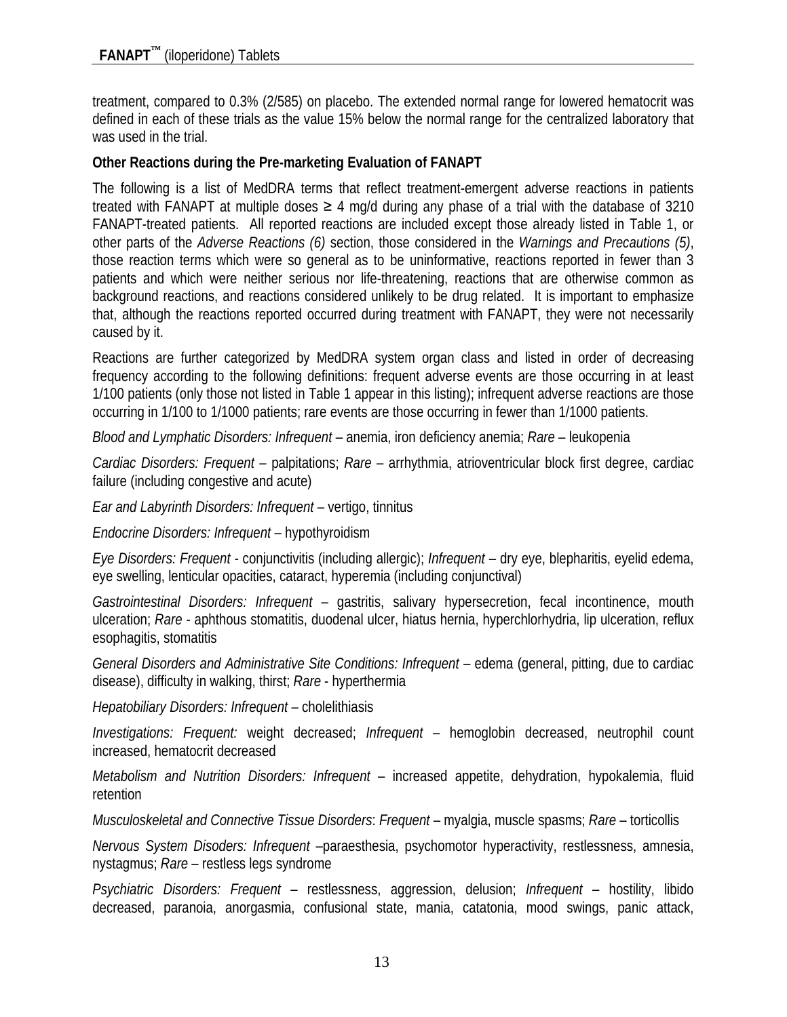treatment, compared to 0.3% (2/585) on placebo. The extended normal range for lowered hematocrit was defined in each of these trials as the value 15% below the normal range for the centralized laboratory that was used in the trial.

#### **Other Reactions during the Pre-marketing Evaluation of FANAPT**

The following is a list of MedDRA terms that reflect treatment-emergent adverse reactions in patients treated with FANAPT at multiple doses  $\geq 4$  mg/d during any phase of a trial with the database of 3210 FANAPT-treated patients. All reported reactions are included except those already listed in Table 1, or other parts of the *Adverse Reactions (6)* section, those considered in the *Warnings and Precautions (5)*, those reaction terms which were so general as to be uninformative, reactions reported in fewer than 3 patients and which were neither serious nor life-threatening, reactions that are otherwise common as background reactions, and reactions considered unlikely to be drug related. It is important to emphasize that, although the reactions reported occurred during treatment with FANAPT, they were not necessarily caused by it.

Reactions are further categorized by MedDRA system organ class and listed in order of decreasing frequency according to the following definitions: frequent adverse events are those occurring in at least 1/100 patients (only those not listed in Table 1 appear in this listing); infrequent adverse reactions are those occurring in 1/100 to 1/1000 patients; rare events are those occurring in fewer than 1/1000 patients.

*Blood and Lymphatic Disorders: Infrequent* – anemia, iron deficiency anemia; *Rare* – leukopenia

*Cardiac Disorders: Frequent –* palpitations; *Rare* – arrhythmia, atrioventricular block first degree, cardiac failure (including congestive and acute)

*Ear and Labyrinth Disorders: Infrequent –* vertigo, tinnitus

*Endocrine Disorders: Infrequent* – hypothyroidism

*Eye Disorders: Frequent -* conjunctivitis (including allergic); *Infrequent* – dry eye, blepharitis, eyelid edema, eye swelling, lenticular opacities, cataract, hyperemia (including conjunctival)

*Gastrointestinal Disorders: Infrequent* – gastritis, salivary hypersecretion, fecal incontinence, mouth ulceration; *Rare* - aphthous stomatitis, duodenal ulcer, hiatus hernia, hyperchlorhydria, lip ulceration, reflux esophagitis, stomatitis

*General Disorders and Administrative Site Conditions: Infrequent* – edema (general, pitting, due to cardiac disease), difficulty in walking, thirst; *Rare* - hyperthermia

*Hepatobiliary Disorders: Infrequent –* cholelithiasis

*Investigations: Frequent:* weight decreased; *Infrequent* – hemoglobin decreased, neutrophil count increased, hematocrit decreased

*Metabolism and Nutrition Disorders: Infrequent* – increased appetite, dehydration, hypokalemia, fluid retention

*Musculoskeletal and Connective Tissue Disorders*: *Frequent* – myalgia, muscle spasms; *Rare* – torticollis

*Nervous System Disoders: Infrequent –*paraesthesia, psychomotor hyperactivity, restlessness, amnesia, nystagmus; *Rare* – restless legs syndrome

*Psychiatric Disorders: Frequent* – restlessness, aggression, delusion; *Infrequent* – hostility, libido decreased, paranoia, anorgasmia, confusional state, mania, catatonia, mood swings, panic attack,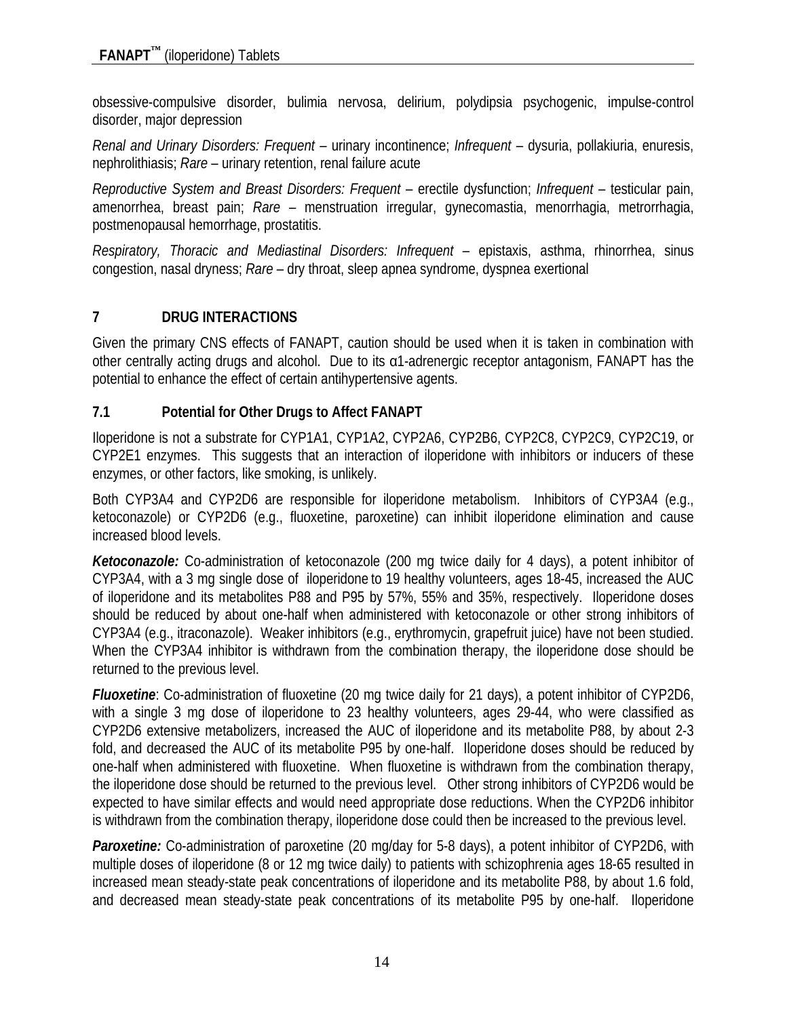obsessive-compulsive disorder, bulimia nervosa, delirium, polydipsia psychogenic, impulse-control disorder, major depression

*Renal and Urinary Disorders: Frequent* – urinary incontinence; *Infrequent* – dysuria, pollakiuria, enuresis, nephrolithiasis; *Rare* – urinary retention, renal failure acute

*Reproductive System and Breast Disorders: Frequent* – erectile dysfunction; *Infrequent* – testicular pain, amenorrhea, breast pain; *Rare* – menstruation irregular, gynecomastia, menorrhagia, metrorrhagia, postmenopausal hemorrhage, prostatitis.

*Respiratory, Thoracic and Mediastinal Disorders: Infrequent* – epistaxis, asthma, rhinorrhea, sinus congestion, nasal dryness; *Rare* – dry throat, sleep apnea syndrome, dyspnea exertional

#### **7 DRUG INTERACTIONS**

Given the primary CNS effects of FANAPT, caution should be used when it is taken in combination with other centrally acting drugs and alcohol. Due to its α1-adrenergic receptor antagonism, FANAPT has the potential to enhance the effect of certain antihypertensive agents.

#### **7.1 Potential for Other Drugs to Affect FANAPT**

Iloperidone is not a substrate for CYP1A1, CYP1A2, CYP2A6, CYP2B6, CYP2C8, CYP2C9, CYP2C19, or CYP2E1 enzymes. This suggests that an interaction of iloperidone with inhibitors or inducers of these enzymes, or other factors, like smoking, is unlikely.

Both CYP3A4 and CYP2D6 are responsible for iloperidone metabolism. Inhibitors of CYP3A4 (e.g., ketoconazole) or CYP2D6 (e.g., fluoxetine, paroxetine) can inhibit iloperidone elimination and cause increased blood levels.

CYP3A4 (e.g., itraconazole). Weaker inhibitors (e.g., erythromycin, grapefruit juice) have not been studied. *Ketoconazole:* Co-administration of ketoconazole (200 mg twice daily for 4 days), a potent inhibitor of CYP3A4, with a 3 mg single dose of iloperidone to 19 healthy volunteers, ages 18-45, increased the AUC of iloperidone and its metabolites P88 and P95 by 57%, 55% and 35%, respectively. Iloperidone doses should be reduced by about one-half when administered with ketoconazole or other strong inhibitors of When the CYP3A4 inhibitor is withdrawn from the combination therapy, the iloperidone dose should be returned to the previous level.

*Fluoxetine*: Co-administration of fluoxetine (20 mg twice daily for 21 days), a potent inhibitor of CYP2D6, with a single 3 mg dose of iloperidone to 23 healthy volunteers, ages 29-44, who were classified as CYP2D6 extensive metabolizers, increased the AUC of iloperidone and its metabolite P88, by about 2-3 fold, and decreased the AUC of its metabolite P95 by one-half. Iloperidone doses should be reduced by one-half when administered with fluoxetine. When fluoxetine is withdrawn from the combination therapy, the iloperidone dose should be returned to the previous level. Other strong inhibitors of CYP2D6 would be expected to have similar effects and would need appropriate dose reductions. When the CYP2D6 inhibitor is withdrawn from the combination therapy, iloperidone dose could then be increased to the previous level.

*Paroxetine:* Co-administration of paroxetine (20 mg/day for 5-8 days), a potent inhibitor of CYP2D6, with multiple doses of iloperidone (8 or 12 mg twice daily) to patients with schizophrenia ages 18-65 resulted in increased mean steady-state peak concentrations of iloperidone and its metabolite P88, by about 1.6 fold, and decreased mean steady-state peak concentrations of its metabolite P95 by one-half. Iloperidone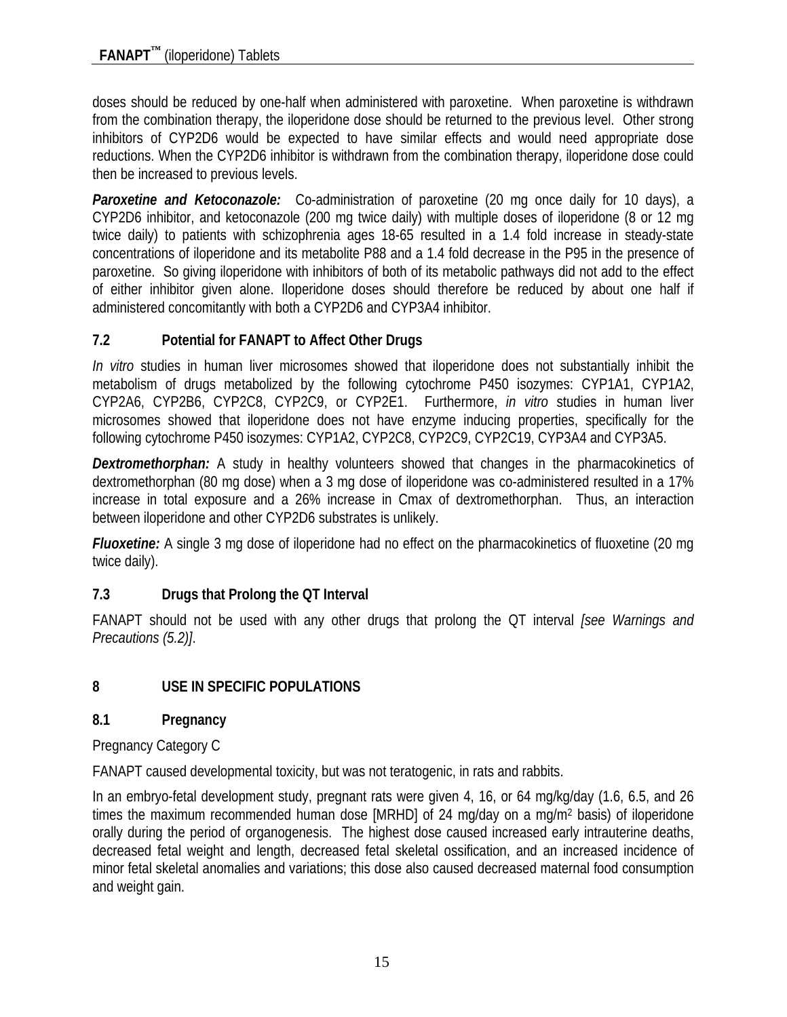doses should be reduced by one-half when administered with paroxetine. When paroxetine is withdrawn from the combination therapy, the iloperidone dose should be returned to the previous level. Other strong inhibitors of CYP2D6 would be expected to have similar effects and would need appropriate dose reductions. When the CYP2D6 inhibitor is withdrawn from the combination therapy, iloperidone dose could then be increased to previous levels.

*Paroxetine and Ketoconazole:* Co-administration of paroxetine (20 mg once daily for 10 days), a CYP2D6 inhibitor, and ketoconazole (200 mg twice daily) with multiple doses of iloperidone (8 or 12 mg twice daily) to patients with schizophrenia ages 18-65 resulted in a 1.4 fold increase in steady-state concentrations of iloperidone and its metabolite P88 and a 1.4 fold decrease in the P95 in the presence of paroxetine. So giving iloperidone with inhibitors of both of its metabolic pathways did not add to the effect of either inhibitor given alone. Iloperidone doses should therefore be reduced by about one half if administered concomitantly with both a CYP2D6 and CYP3A4 inhibitor.

## **7.2 Potential for FANAPT to Affect Other Drugs**

*In vitro* studies in human liver microsomes showed that iloperidone does not substantially inhibit the metabolism of drugs metabolized by the following cytochrome P450 isozymes: CYP1A1, CYP1A2, CYP2A6, CYP2B6, CYP2C8, CYP2C9, or CYP2E1. Furthermore, *in vitro* studies in human liver microsomes showed that iloperidone does not have enzyme inducing properties, specifically for the following cytochrome P450 isozymes: CYP1A2, CYP2C8, CYP2C9, CYP2C19, CYP3A4 and CYP3A5.

**Dextromethorphan:** A study in healthy volunteers showed that changes in the pharmacokinetics of dextromethorphan (80 mg dose) when a 3 mg dose of iloperidone was co-administered resulted in a 17% increase in total exposure and a 26% increase in Cmax of dextromethorphan. Thus, an interaction between iloperidone and other CYP2D6 substrates is unlikely.

*Fluoxetine:* A single 3 mg dose of iloperidone had no effect on the pharmacokinetics of fluoxetine (20 mg twice daily).

## **7.3 Drugs that Prolong the QT Interval**

FANAPT should not be used with any other drugs that prolong the QT interval *[see Warnings and Precautions (5.2)]*.

### **8 USE IN SPECIFIC POPULATIONS**

### **8.1 Pregnancy**

Pregnancy Category C

FANAPT caused developmental toxicity, but was not teratogenic, in rats and rabbits.

In an embryo-fetal development study, pregnant rats were given 4, 16, or 64 mg/kg/day (1.6, 6.5, and 26 times the maximum recommended human dose [MRHD] of 24 mg/day on a mg/m2 basis) of iloperidone orally during the period of organogenesis. The highest dose caused increased early intrauterine deaths, decreased fetal weight and length, decreased fetal skeletal ossification, and an increased incidence of minor fetal skeletal anomalies and variations; this dose also caused decreased maternal food consumption and weight gain.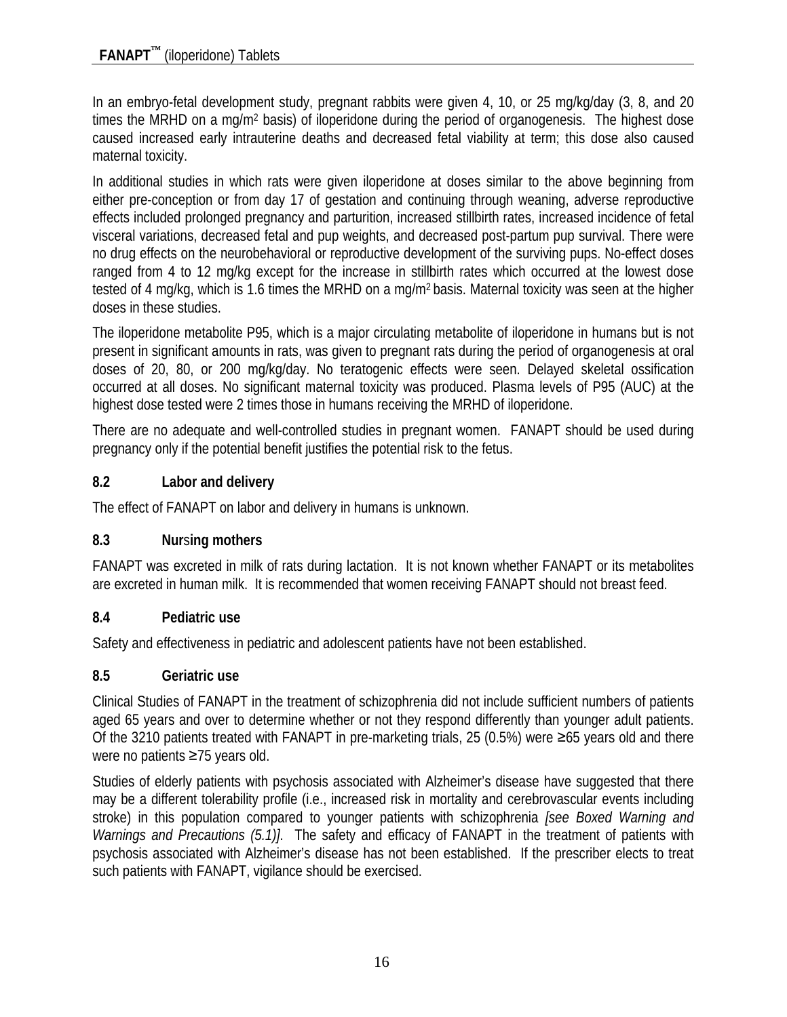In an embryo-fetal development study, pregnant rabbits were given 4, 10, or 25 mg/kg/day (3, 8, and 20 times the MRHD on a mg/m<sup>2</sup> basis) of iloperidone during the period of organogenesis. The highest dose caused increased early intrauterine deaths and decreased fetal viability at term; this dose also caused maternal toxicity.

In additional studies in which rats were given iloperidone at doses similar to the above beginning from either pre-conception or from day 17 of gestation and continuing through weaning, adverse reproductive effects included prolonged pregnancy and parturition, increased stillbirth rates, increased incidence of fetal visceral variations, decreased fetal and pup weights, and decreased post-partum pup survival. There were no drug effects on the neurobehavioral or reproductive development of the surviving pups. No-effect doses ranged from 4 to 12 mg/kg except for the increase in stillbirth rates which occurred at the lowest dose tested of 4 mg/kg, which is 1.6 times the MRHD on a mg/m2 basis. Maternal toxicity was seen at the higher doses in these studies.

The iloperidone metabolite P95, which is a major circulating metabolite of iloperidone in humans but is not present in significant amounts in rats, was given to pregnant rats during the period of organogenesis at oral doses of 20, 80, or 200 mg/kg/day. No teratogenic effects were seen. Delayed skeletal ossification occurred at all doses. No significant maternal toxicity was produced. Plasma levels of P95 (AUC) at the highest dose tested were 2 times those in humans receiving the MRHD of iloperidone.

There are no adequate and well-controlled studies in pregnant women. FANAPT should be used during pregnancy only if the potential benefit justifies the potential risk to the fetus.

## **8.2 Labor and delivery**

The effect of FANAPT on labor and delivery in humans is unknown.

### **8.3 Nur**s**ing mothers**

FANAPT was excreted in milk of rats during lactation. It is not known whether FANAPT or its metabolites are excreted in human milk. It is recommended that women receiving FANAPT should not breast feed.

### **8.4 Pediatric use**

Safety and effectiveness in pediatric and adolescent patients have not been established.

### **8.5 Geriatric use**

Clinical Studies of FANAPT in the treatment of schizophrenia did not include sufficient numbers of patients aged 65 years and over to determine whether or not they respond differently than younger adult patients. Of the 3210 patients treated with FANAPT in pre-marketing trials, 25 (0.5%) were ≥65 years old and there were no patients ≥75 years old.

Studies of elderly patients with psychosis associated with Alzheimer's disease have suggested that there may be a different tolerability profile (i.e., increased risk in mortality and cerebrovascular events including stroke) in this population compared to younger patients with schizophrenia *[see Boxed Warning and Warnings and Precautions (5.1)]*. The safety and efficacy of FANAPT in the treatment of patients with psychosis associated with Alzheimer's disease has not been established. If the prescriber elects to treat such patients with FANAPT, vigilance should be exercised.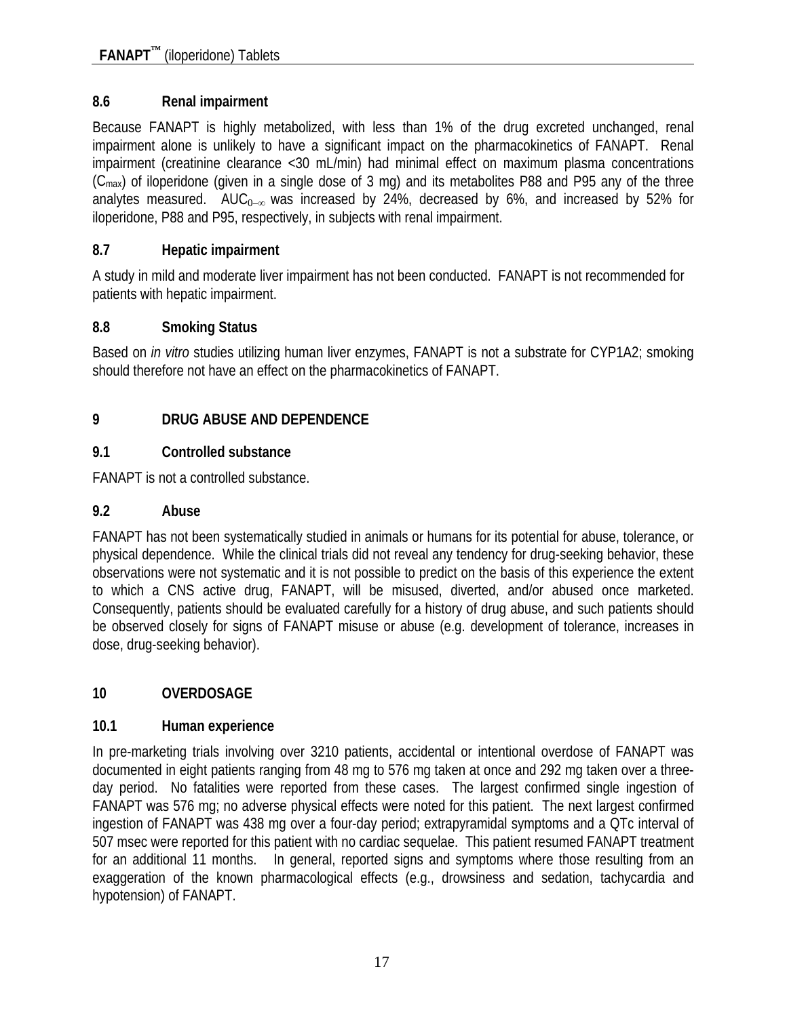### **8.6 Renal impairment**

Because FANAPT is highly metabolized, with less than 1% of the drug excreted unchanged, renal impairment alone is unlikely to have a significant impact on the pharmacokinetics of FANAPT. Renal impairment (creatinine clearance <30 mL/min) had minimal effect on maximum plasma concentrations  $(C_{\text{max}})$  of iloperidone (given in a single dose of 3 mg) and its metabolites P88 and P95 any of the three analytes measured. AUC<sub>0–∞</sub> was increased by 24%, decreased by 6%, and increased by 52% for iloperidone, P88 and P95, respectively, in subjects with renal impairment.

#### **8.7 Hepatic impairment**

A study in mild and moderate liver impairment has not been conducted. FANAPT is not recommended for patients with hepatic impairment.

#### **8.8 Smoking Status**

Based on *in vitro* studies utilizing human liver enzymes, FANAPT is not a substrate for CYP1A2; smoking should therefore not have an effect on the pharmacokinetics of FANAPT.

### **9 DRUG ABUSE AND DEPENDENCE**

### **9.1 Controlled substance**

FANAPT is not a controlled substance.

#### **9.2 Abuse**

to which a CNS active drug, FANAPT, will be misused, diverted, and/or abused once marketed.<br>Consequently, patients should be evaluated carefully for a history of drug abuse, and such patients should FANAPT has not been systematically studied in animals or humans for its potential for abuse, tolerance, or physical dependence. While the clinical trials did not reveal any tendency for drug-seeking behavior, these observations were not systematic and it is not possible to predict on the basis of this experience the extent be observed closely for signs of FANAPT misuse or abuse (e.g. development of tolerance, increases in dose, drug-seeking behavior).

### **10 OVERDOSAGE**

#### **10.1 Human experience**

In pre-marketing trials involving over 3210 patients, accidental or intentional overdose of FANAPT was documented in eight patients ranging from 48 mg to 576 mg taken at once and 292 mg taken over a threeday period. No fatalities were reported from these cases. The largest confirmed single ingestion of FANAPT was 576 mg; no adverse physical effects were noted for this patient. The next largest confirmed ingestion of FANAPT was 438 mg over a four-day period; extrapyramidal symptoms and a QTc interval of 507 msec were reported for this patient with no cardiac sequelae. This patient resumed FANAPT treatment for an additional 11 months. In general, reported signs and symptoms where those resulting from an exaggeration of the known pharmacological effects (e.g., drowsiness and sedation, tachycardia and hypotension) of FANAPT.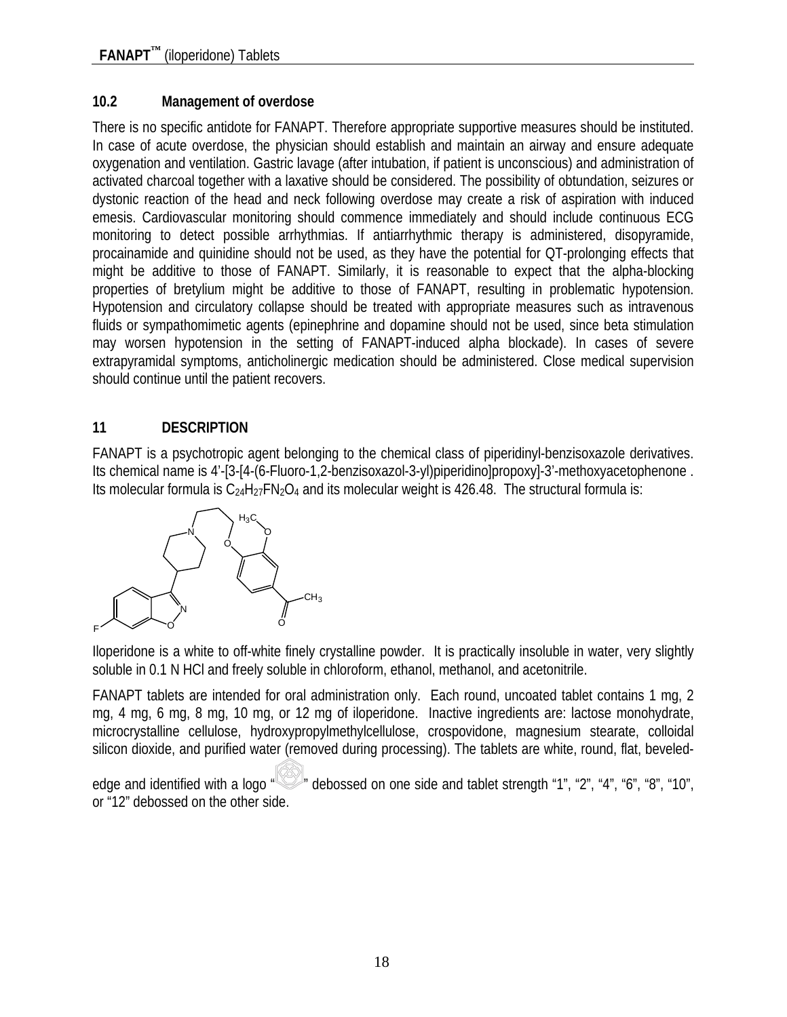#### **10.2 Management of overdose**

There is no specific antidote for FANAPT. Therefore appropriate supportive measures should be instituted. In case of acute overdose, the physician should establish and maintain an airway and ensure adequate oxygenation and ventilation. Gastric lavage (after intubation, if patient is unconscious) and administration of activated charcoal together with a laxative should be considered. The possibility of obtundation, seizures or dystonic reaction of the head and neck following overdose may create a risk of aspiration with induced emesis. Cardiovascular monitoring should commence immediately and should include continuous ECG monitoring to detect possible arrhythmias. If antiarrhythmic therapy is administered, disopyramide, procainamide and quinidine should not be used, as they have the potential for QT-prolonging effects that might be additive to those of FANAPT. Similarly, it is reasonable to expect that the alpha-blocking properties of bretylium might be additive to those of FANAPT, resulting in problematic hypotension. Hypotension and circulatory collapse should be treated with appropriate measures such as intravenous fluids or sympathomimetic agents (epinephrine and dopamine should not be used, since beta stimulation may worsen hypotension in the setting of FANAPT-induced alpha blockade). In cases of severe extrapyramidal symptoms, anticholinergic medication should be administered. Close medical supervision should continue until the patient recovers.

#### **11 DESCRIPTION**

FANAPT is a psychotropic agent belonging to the chemical class of piperidinyl-benzisoxazole derivatives.<br>Its chemical name is 4'-[3-[4-(6-Fluoro-1,2-benzisoxazol-3-yl)piperidino]propoxy]-3'-methoxyacetophenone .<br>Its molecu Its chemical name is  $4'-3-4-6$ -Fluoro-1,2-benzisoxazol-3-yl)piperidinolpropoxyl-3'-methoxyacetophenone.



Iloperidone is a white to off-white finely crystalline powder. It is practically insoluble in water, very slightly soluble in 0.1 N HCl and freely soluble in chloroform, ethanol, methanol, and acetonitrile.

FANAPT tablets are intended for oral administration only. Each round, uncoated tablet contains 1 mg, 2 mg, 4 mg, 6 mg, 8 mg, 10 mg, or 12 mg of iloperidone. Inactive ingredients are: lactose monohydrate, microcrystalline cellulose, hydroxypropylmethylcellulose, crospovidone, magnesium stearate, colloidal silicon dioxide, and purified water (removed during processing). The tablets are white, round, flat, beveled-

edge and identified with a logo " debossed on one side and tablet strength "1", "2", "4", "6", "8", "10", or "12" debossed on the other side.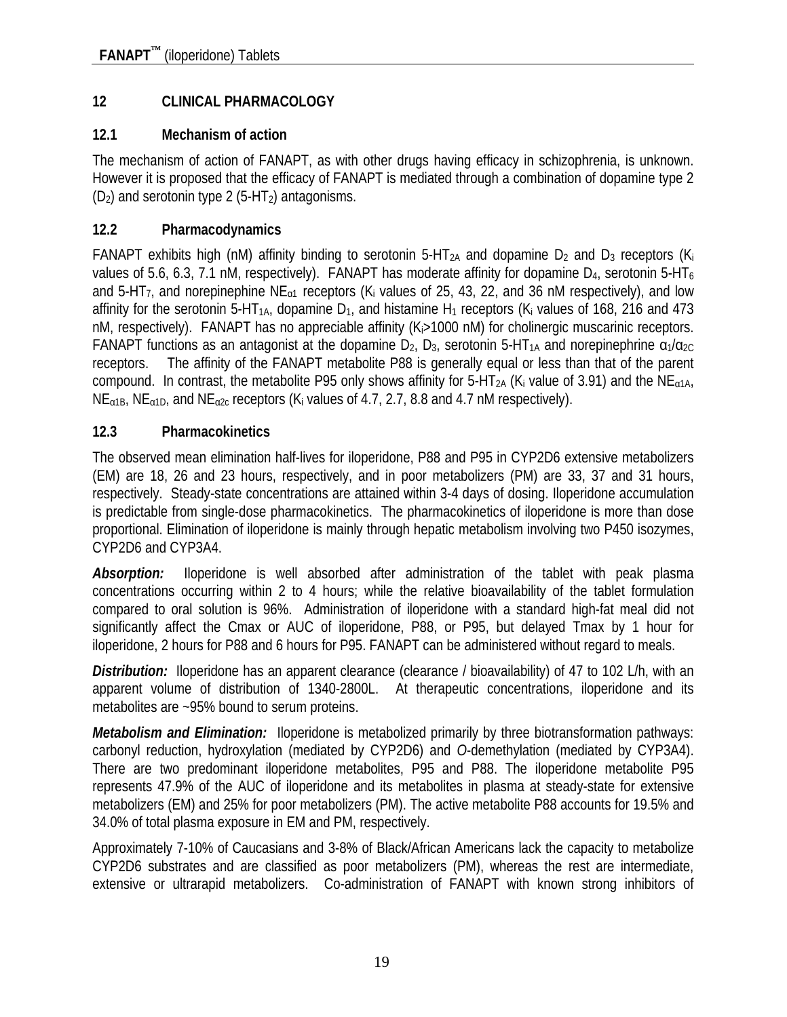#### **12 CLINICAL PHARMACOLOGY**

#### **12.1 Mechanism of action**

The mechanism of action of FANAPT, as with other drugs having efficacy in schizophrenia, is unknown. However it is proposed that the efficacy of FANAPT is mediated through a combination of dopamine type 2  $(D_2)$  and serotonin type 2 (5-HT<sub>2</sub>) antagonisms.

#### **12.2 Pharmacodynamics**

FANAPT exhibits high (nM) affinity binding to serotonin  $5-HT_{2A}$  and dopamine  $D_2$  and  $D_3$  receptors (K<sub>i</sub> values of 5.6, 6.3, 7.1 nM, respectively). FANAPT has moderate affinity for dopamine  $D_4$ , serotonin 5-HT<sub>6</sub> and 5-HT<sub>7</sub>, and norepinephine NE<sub>q1</sub> receptors (K<sub>i</sub> values of 25, 43, 22, and 36 nM respectively), and low affinity for the serotonin 5-HT<sub>1A</sub>, dopamine D<sub>1</sub>, and histamine H<sub>1</sub> receptors (K<sub>i</sub> values of 168, 216 and 473 nM, respectively). FANAPT has no appreciable affinity  $(K_i>1000$  nM) for cholinergic muscarinic receptors. FANAPT functions as an antagonist at the dopamine  $D_2$ ,  $D_3$ , serotonin 5-HT<sub>1A</sub> and norepinephrine  $\alpha_1/\alpha_{2C}$ receptors. The affinity of the FANAPT metabolite P88 is generally equal or less than that of the parent compound. In contrast, the metabolite P95 only shows affinity for 5-HT<sub>2A</sub> (K<sub>i</sub> value of 3.91) and the NE<sub>α1A</sub>,  $NE_{\alpha1B}$ ,  $NE_{\alpha1D}$ , and  $NE_{\alpha2C}$  receptors (K<sub>i</sub> values of 4.7, 2.7, 8.8 and 4.7 nM respectively).

#### **12.3 Pharmacokinetics**

The observed mean elimination half-lives for iloperidone, P88 and P95 in CYP2D6 extensive metabolizers (EM) are 18, 26 and 23 hours, respectively, and in poor metabolizers (PM) are 33, 37 and 31 hours, respectively. Steady-state concentrations are attained within 3-4 days of dosing. Iloperidone accumulation is predictable from single-dose pharmacokinetics. The pharmacokinetics of iloperidone is more than dose proportional. Elimination of iloperidone is mainly through hepatic metabolism involving two P450 isozymes, CYP2D6 and CYP3A4.

*Absorption:* Iloperidone is well absorbed after administration of the tablet with peak plasma concentrations occurring within 2 to 4 hours; while the relative bioavailability of the tablet formulation compared to oral solution is 96%. Administration of iloperidone with a standard high-fat meal did not significantly affect the Cmax or AUC of iloperidone, P88, or P95, but delayed Tmax by 1 hour for iloperidone, 2 hours for P88 and 6 hours for P95. FANAPT can be administered without regard to meals.

**Distribution:** Iloperidone has an apparent clearance (clearance / bioavailability) of 47 to 102 L/h, with an apparent volume of distribution of 1340-2800L. At therapeutic concentrations, iloperidone and its metabolites are ~95% bound to serum proteins.

Metabolism and Elimination: Iloperidone is metabolized primarily by three biotransformation pathways: carbonyl reduction, hydroxylation (mediated by CYP2D6) and *O*-demethylation (mediated by CYP3A4). There are two predominant iloperidone metabolites, P95 and P88. The iloperidone metabolite P95 represents 47.9% of the AUC of iloperidone and its metabolites in plasma at steady-state for extensive metabolizers (EM) and 25% for poor metabolizers (PM). The active metabolite P88 accounts for 19.5% and 34.0% of total plasma exposure in EM and PM, respectively.

Approximately 7-10% of Caucasians and 3-8% of Black/African Americans lack the capacity to metabolize CYP2D6 substrates and are classified as poor metabolizers (PM), whereas the rest are intermediate, extensive or ultrarapid metabolizers. Co-administration of FANAPT with known strong inhibitors of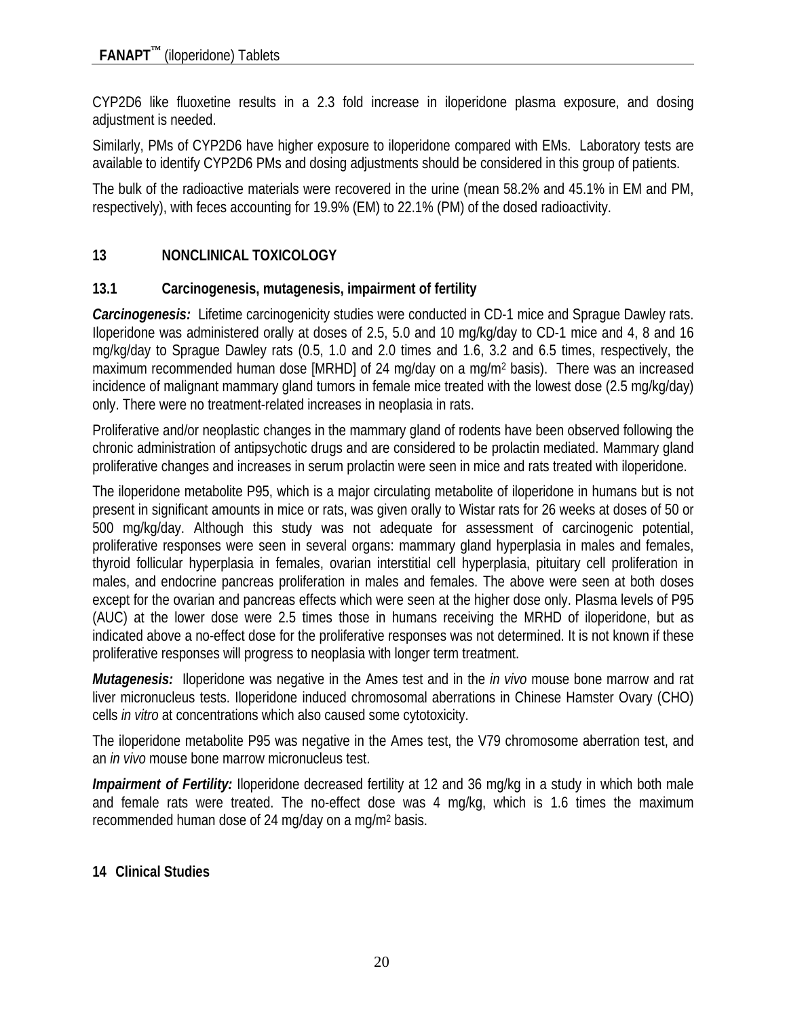CYP2D6 like fluoxetine results in a 2.3 fold increase in iloperidone plasma exposure, and dosing adjustment is needed.

Similarly, PMs of CYP2D6 have higher exposure to iloperidone compared with EMs. Laboratory tests are available to identify CYP2D6 PMs and dosing adjustments should be considered in this group of patients.

The bulk of the radioactive materials were recovered in the urine (mean 58.2% and 45.1% in EM and PM, respectively), with feces accounting for 19.9% (EM) to 22.1% (PM) of the dosed radioactivity.

### **13 NONCLINICAL TOXICOLOGY**

#### **13.1 Carcinogenesis, mutagenesis, impairment of fertility**

*Carcinogenesis:* Lifetime carcinogenicity studies were conducted in CD-1 mice and Sprague Dawley rats. Iloperidone was administered orally at doses of 2.5, 5.0 and 10 mg/kg/day to CD-1 mice and 4, 8 and 16 mg/kg/day to Sprague Dawley rats (0.5, 1.0 and 2.0 times and 1.6, 3.2 and 6.5 times, respectively, the maximum recommended human dose [MRHD] of 24 mg/day on a mg/m2 basis). There was an increased incidence of malignant mammary gland tumors in female mice treated with the lowest dose (2.5 mg/kg/day) only. There were no treatment-related increases in neoplasia in rats.

Proliferative and/or neoplastic changes in the mammary gland of rodents have been observed following the chronic administration of antipsychotic drugs and are considered to be prolactin mediated. Mammary gland proliferative changes and increases in serum prolactin were seen in mice and rats treated with iloperidone.

The iloperidone metabolite P95, which is a major circulating metabolite of iloperidone in humans but is not present in significant amounts in mice or rats, was given orally to Wistar rats for 26 weeks at doses of 50 or 500 mg/kg/day. Although this study was not adequate for assessment of carcinogenic potential, proliferative responses were seen in several organs: mammary gland hyperplasia in males and females, thyroid follicular hyperplasia in females, ovarian interstitial cell hyperplasia, pituitary cell proliferation in males, and endocrine pancreas proliferation in males and females. The above were seen at both doses except for the ovarian and pancreas effects which were seen at the higher dose only. Plasma levels of P95 (AUC) at the lower dose were 2.5 times those in humans receiving the MRHD of iloperidone, but as indicated above a no-effect dose for the proliferative responses was not determined. It is not known if these proliferative responses will progress to neoplasia with longer term treatment.

*Mutagenesis:* Iloperidone was negative in the Ames test and in the *in vivo* mouse bone marrow and rat liver micronucleus tests. Iloperidone induced chromosomal aberrations in Chinese Hamster Ovary (CHO) cells *in vitro* at concentrations which also caused some cytotoxicity.

The iloperidone metabolite P95 was negative in the Ames test, the V79 chromosome aberration test, and an *in vivo* mouse bone marrow micronucleus test.

*Impairment of Fertility:* Iloperidone decreased fertility at 12 and 36 mg/kg in a study in which both male and female rats were treated. The no-effect dose was 4 mg/kg, which is 1.6 times the maximum recommended human dose of 24 mg/day on a mg/m2 basis.

#### **14 Clinical Studies**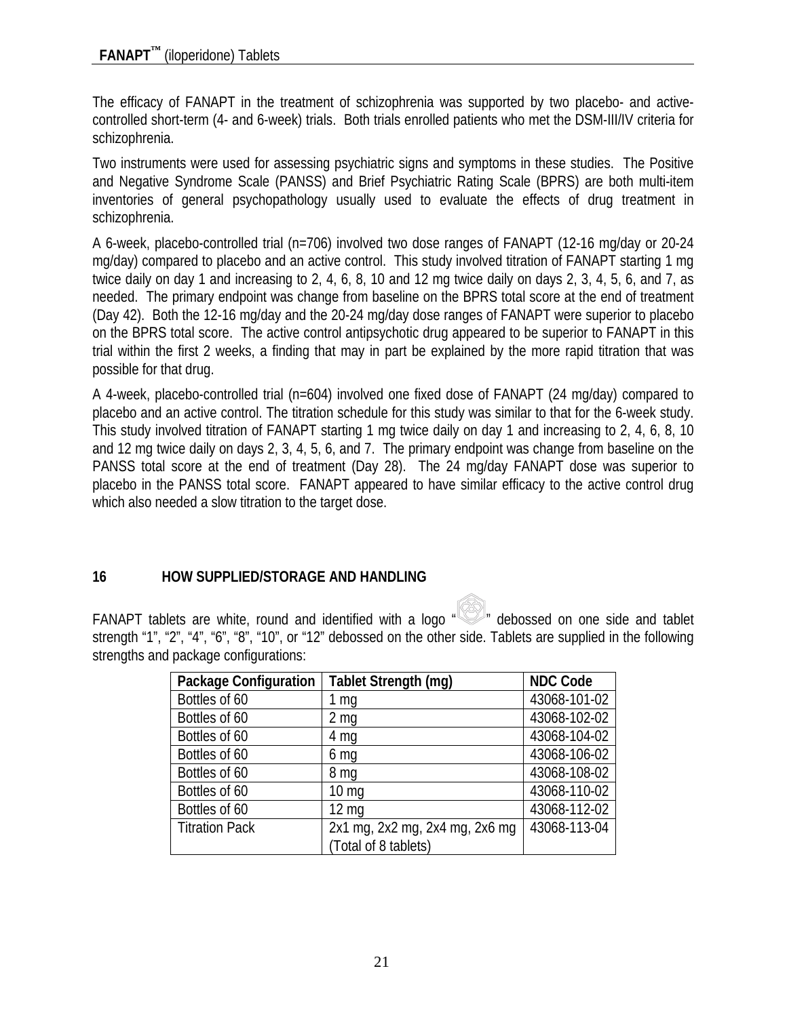The efficacy of FANAPT in the treatment of schizophrenia was supported by two placebo- and activecontrolled short-term (4- and 6-week) trials. Both trials enrolled patients who met the DSM-III/IV criteria for schizophrenia.

Two instruments were used for assessing psychiatric signs and symptoms in these studies. The Positive and Negative Syndrome Scale (PANSS) and Brief Psychiatric Rating Scale (BPRS) are both multi-item inventories of general psychopathology usually used to evaluate the effects of drug treatment in schizophrenia.

A 6-week, placebo-controlled trial (n=706) involved two dose ranges of FANAPT (12-16 mg/day or 20-24 mg/day) compared to placebo and an active control. This study involved titration of FANAPT starting 1 mg twice daily on day 1 and increasing to 2, 4, 6, 8, 10 and 12 mg twice daily on days 2, 3, 4, 5, 6, and 7, as needed. The primary endpoint was change from baseline on the BPRS total score at the end of treatment (Day 42). Both the 12-16 mg/day and the 20-24 mg/day dose ranges of FANAPT were superior to placebo on the BPRS total score. The active control antipsychotic drug appeared to be superior to FANAPT in this trial within the first 2 weeks, a finding that may in part be explained by the more rapid titration that was possible for that drug.

placebo and an active control. The titration schedule for this study was similar to that for the 6-week study. A 4-week, placebo-controlled trial (n=604) involved one fixed dose of FANAPT (24 mg/day) compared to This study involved titration of FANAPT starting 1 mg twice daily on day 1 and increasing to 2, 4, 6, 8, 10 and 12 mg twice daily on days 2, 3, 4, 5, 6, and 7. The primary endpoint was change from baseline on the PANSS total score at the end of treatment (Day 28). The 24 mg/day FANAPT dose was superior to placebo in the PANSS total score. FANAPT appeared to have similar efficacy to the active control drug which also needed a slow titration to the target dose.

#### **16 HOW SUPPLIED/STORAGE AND HANDLING**

FANAPT tablets are white, round and identified with a logo "variables" debossed on one side and tablet strength "1", "2", "4", "6", "8", "10", or "12" debossed on the other side. Tablets are supplied in the following strengths and package configurations:

| Package Configuration | <b>Tablet Strength (mg)</b>    | <b>NDC Code</b> |
|-----------------------|--------------------------------|-----------------|
| Bottles of 60         | 1 <sub>mq</sub>                | 43068-101-02    |
| Bottles of 60         | 2 <sub>mq</sub>                | 43068-102-02    |
| Bottles of 60         | $4 \text{ mg}$                 | 43068-104-02    |
| Bottles of 60         | 6 <sub>mq</sub>                | 43068-106-02    |
| Bottles of 60         | 8 mg                           | 43068-108-02    |
| Bottles of 60         | $10 \text{ mg}$                | 43068-110-02    |
| Bottles of 60         | $12 \text{ mg}$                | 43068-112-02    |
| <b>Titration Pack</b> | 2x1 mg, 2x2 mg, 2x4 mg, 2x6 mg | 43068-113-04    |
|                       | (Total of 8 tablets)           |                 |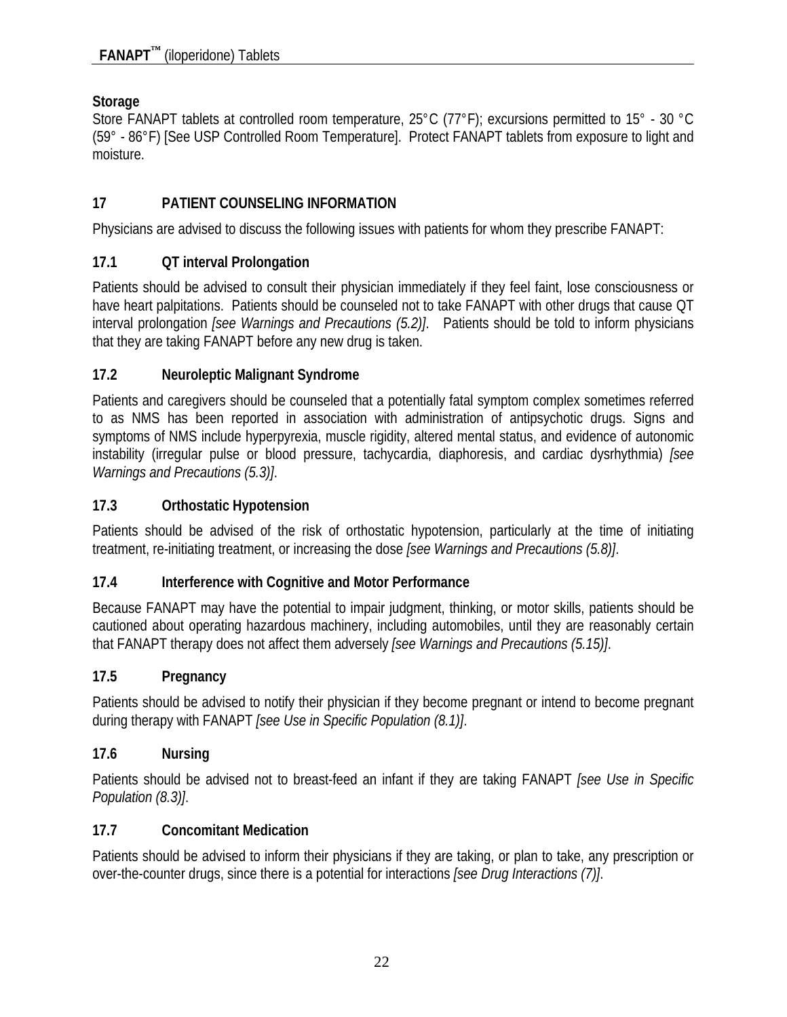### **Storage**

Store FANAPT tablets at controlled room temperature, 25°C (77°F); excursions permitted to 15° - 30 °C (59° - 86°F) [See USP Controlled Room Temperature]. Protect FANAPT tablets from exposure to light and moisture.

#### **17 PATIENT COUNSELING INFORMATION**

Physicians are advised to discuss the following issues with patients for whom they prescribe FANAPT:

#### **17.1 QT interval Prolongation**

Patients should be advised to consult their physician immediately if they feel faint, lose consciousness or have heart palpitations. Patients should be counseled not to take FANAPT with other drugs that cause QT interval prolongation *[see Warnings and Precautions (5.2)]*. Patients should be told to inform physicians that they are taking FANAPT before any new drug is taken.

#### **17.2 Neuroleptic Malignant Syndrome**

Patients and caregivers should be counseled that a potentially fatal symptom complex sometimes referred to as NMS has been reported in association with administration of antipsychotic drugs. Signs and symptoms of NMS include hyperpyrexia, muscle rigidity, altered mental status, and evidence of autonomic instability (irregular pulse or blood pressure, tachycardia, diaphoresis, and cardiac dysrhythmia) *[see Warnings and Precautions (5.3)]*.

#### **17.3 Orthostatic Hypotension**

Patients should be advised of the risk of orthostatic hypotension, particularly at the time of initiating treatment, re-initiating treatment, or increasing the dose *[see Warnings and Precautions (5.8)]*.

#### **17.4 Interference with Cognitive and Motor Performance**

Because FANAPT may have the potential to impair judgment, thinking, or motor skills, patients should be cautioned about operating hazardous machinery, including automobiles, until they are reasonably certain that FANAPT therapy does not affect them adversely *[see Warnings and Precautions (5.15)]*.

#### **17.5 Pregnancy**

Patients should be advised to notify their physician if they become pregnant or intend to become pregnant during therapy with FANAPT *[see Use in Specific Population (8.1)]*.

#### **17.6 Nursing**

Patients should be advised not to breast-feed an infant if they are taking FANAPT *[see Use in Specific Population (8.3)]*.

#### **17.7 Concomitant Medication**

Patients should be advised to inform their physicians if they are taking, or plan to take, any prescription or over-the-counter drugs, since there is a potential for interactions *[see Drug Interactions (7)]*.